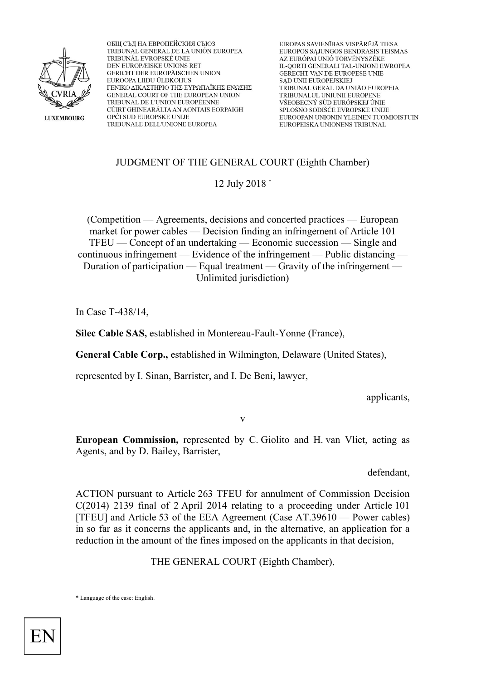

ОБЩ СЪД НА ЕВРОПЕЙСКИЯ СЪЮЗ TRIBUNAL GENERAL DE LA UNIÓN EUROPEA TRIBUNÁL EVROPSKÉ UNIE DEN EUROPÆISKE UNIONS RET GERICHT DER EUROPÄISCHEN UNION EUROOPA LIIDU ÜLDKOHUS ΓΕΝΙΚΟ ΔΙΚΑΣΤΗΡΙΟ ΤΗΣ ΕΥΡΩΠΑΪΚΗΣ ΕΝΩΣΗΣ GENERAL COURT OF THE EUROPEAN UNION TRIBUNAL DE L'UNION EUROPÉENNE CÚIRT GHINEARÁLTA AN AONTAIS EORPAIGH OPĆI SUD EUROPSKE UNIJE TRIBUNALE DELL'UNIONE EUROPEA

EIROPAS SAVIENĪBAS VISPĀRĒJĀ TIESA EUROPOS SĄJUNGOS BENDRASIS TEISMAS AZ EURÓPAI UNIÓ TÖRVÉNYSZÉKE IL-QORTI ĞENERALI TAL-UNJONI EWROPEA GERECHT VAN DE EUROPESE UNIE **SAD UNII EUROPEJSKIEJ** TRIBUNAL GERAL DA UNIÃO EUROPEIA TRIBUNALUL UNIUNII EUROPENE VŠEOBECNÝ SÚD EURÓPSKEJ ÚNIE SPLOŠNO SODIŠČE EVROPSKE UNIJE EUROOPAN UNIONIN YLEINEN TUOMIOISTUIN EUROPEISKA UNIONENS TRIBUNAL

#### JUDGMENT OF THE GENERAL COURT (Eighth Chamber)

12 July 2018 \*

(Competition — Agreements, decisions and concerted practices — European market for power cables — Decision finding an infringement of Article 101 TFEU — Concept of an undertaking — Economic succession — Single and continuous infringement — Evidence of the infringement — Public distancing — Duration of participation — Equal treatment — Gravity of the infringement — Unlimited jurisdiction)

In Case T-438/14,

**Silec Cable SAS,** established in Montereau-Fault-Yonne (France),

**General Cable Corp.,** established in Wilmington, Delaware (United States),

represented by I. Sinan, Barrister, and I. De Beni, lawyer,

applicants,

v

**European Commission,** represented by C. Giolito and H. van Vliet, acting as Agents, and by D. Bailey, Barrister,

defendant,

ACTION pursuant to Article 263 TFEU for annulment of Commission Decision C(2014) 2139 final of 2 April 2014 relating to a proceeding under Article 101 [TFEU] and Article 53 of the EEA Agreement (Case AT.39610 — Power cables) in so far as it concerns the applicants and, in the alternative, an application for a reduction in the amount of the fines imposed on the applicants in that decision,

THE GENERAL COURT (Eighth Chamber),

\* Language of the case: English.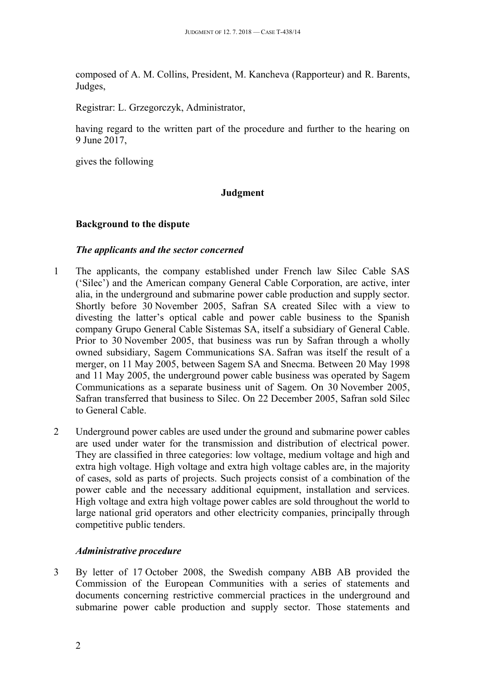composed of A. M. Collins, President, M. Kancheva (Rapporteur) and R. Barents, Judges,

Registrar: L. Grzegorczyk, Administrator,

having regard to the written part of the procedure and further to the hearing on 9 June 2017,

gives the following

## **Judgment**

## <span id="page-1-0"></span>**Background to the dispute**

### <span id="page-1-1"></span>*The applicants and the sector concerned*

- 1 The applicants, the company established under French law Silec Cable SAS ('Silec') and the American company General Cable Corporation, are active, inter alia, in the underground and submarine power cable production and supply sector. Shortly before 30 November 2005, Safran SA created Silec with a view to divesting the latter's optical cable and power cable business to the Spanish company Grupo General Cable Sistemas SA, itself a subsidiary of General Cable. Prior to 30 November 2005, that business was run by Safran through a wholly owned subsidiary, Sagem Communications SA. Safran was itself the result of a merger, on 11 May 2005, between Sagem SA and Snecma. Between 20 May 1998 and 11 May 2005, the underground power cable business was operated by Sagem Communications as a separate business unit of Sagem. On 30 November 2005, Safran transferred that business to Silec. On 22 December 2005, Safran sold Silec to General Cable.
- 2 Underground power cables are used under the ground and submarine power cables are used under water for the transmission and distribution of electrical power. They are classified in three categories: low voltage, medium voltage and high and extra high voltage. High voltage and extra high voltage cables are, in the majority of cases, sold as parts of projects. Such projects consist of a combination of the power cable and the necessary additional equipment, installation and services. High voltage and extra high voltage power cables are sold throughout the world to large national grid operators and other electricity companies, principally through competitive public tenders.

#### <span id="page-1-2"></span>*Administrative procedure*

3 By letter of 17 October 2008, the Swedish company ABB AB provided the Commission of the European Communities with a series of statements and documents concerning restrictive commercial practices in the underground and submarine power cable production and supply sector. Those statements and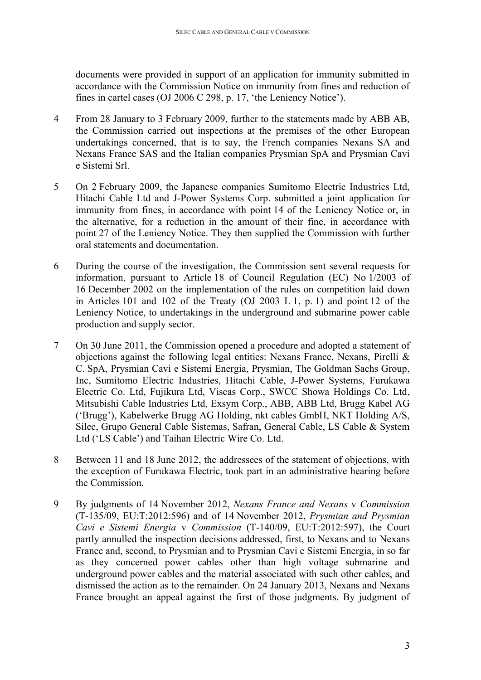documents were provided in support of an application for immunity submitted in accordance with the Commission Notice on immunity from fines and reduction of fines in cartel cases (OJ 2006 C 298, p. 17, 'the Leniency Notice').

- 4 From 28 January to 3 February 2009, further to the statements made by ABB AB, the Commission carried out inspections at the premises of the other European undertakings concerned, that is to say, the French companies Nexans SA and Nexans France SAS and the Italian companies Prysmian SpA and Prysmian Cavi e Sistemi Srl.
- 5 On 2 February 2009, the Japanese companies Sumitomo Electric Industries Ltd, Hitachi Cable Ltd and J-Power Systems Corp. submitted a joint application for immunity from fines, in accordance with point 14 of the Leniency Notice or, in the alternative, for a reduction in the amount of their fine, in accordance with point 27 of the Leniency Notice. They then supplied the Commission with further oral statements and documentation.
- 6 During the course of the investigation, the Commission sent several requests for information, pursuant to Article 18 of Council Regulation (EC) No 1/2003 of 16 December 2002 on the implementation of the rules on competition laid down in Articles 101 and 102 of the Treaty (OJ 2003 L 1, p. 1) and point 12 of the Leniency Notice, to undertakings in the underground and submarine power cable production and supply sector.
- 7 On 30 June 2011, the Commission opened a procedure and adopted a statement of objections against the following legal entities: Nexans France, Nexans, Pirelli & C. SpA, Prysmian Cavi e Sistemi Energia, Prysmian, The Goldman Sachs Group, Inc, Sumitomo Electric Industries, Hitachi Cable, J-Power Systems, Furukawa Electric Co. Ltd, Fujikura Ltd, Viscas Corp., SWCC Showa Holdings Co. Ltd, Mitsubishi Cable Industries Ltd, Exsym Corp., ABB, ABB Ltd, Brugg Kabel AG ('Brugg'), Kabelwerke Brugg AG Holding, nkt cables GmbH, NKT Holding A/S, Silec, Grupo General Cable Sistemas, Safran, General Cable, LS Cable & System Ltd ('LS Cable') and Taihan Electric Wire Co. Ltd.
- 8 Between 11 and 18 June 2012, the addressees of the statement of objections, with the exception of Furukawa Electric, took part in an administrative hearing before the Commission.
- 9 By judgments of 14 November 2012, *Nexans France and Nexans* v *Commission* (T-135/09, EU:T:2012:596) and of 14 November 2012, *Prysmian and Prysmian Cavi e Sistemi Energia* v *Commission* (T-140/09, EU:T:2012:597), the Court partly annulled the inspection decisions addressed, first, to Nexans and to Nexans France and, second, to Prysmian and to Prysmian Cavi e Sistemi Energia, in so far as they concerned power cables other than high voltage submarine and underground power cables and the material associated with such other cables, and dismissed the action as to the remainder. On 24 January 2013, Nexans and Nexans France brought an appeal against the first of those judgments. By judgment of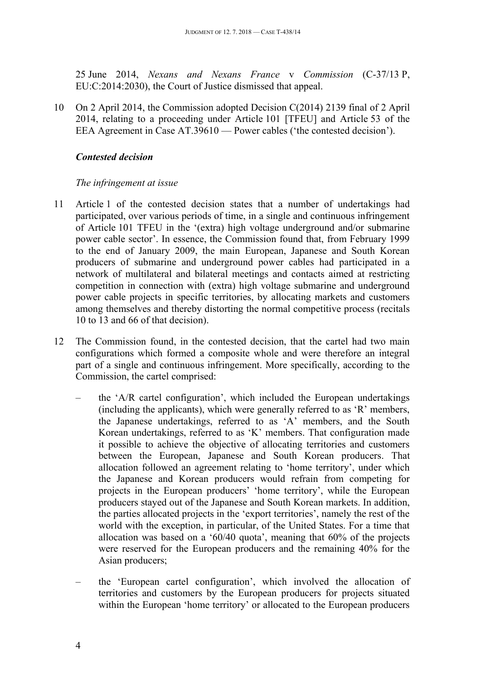25 June 2014, *Nexans and Nexans France* v *Commission* (C-37/13 P, EU:C:2014:2030), the Court of Justice dismissed that appeal.

10 On 2 April 2014, the Commission adopted Decision C(2014) 2139 final of 2 April 2014, relating to a proceeding under Article 101 [TFEU] and Article 53 of the EEA Agreement in Case AT.39610 — Power cables ('the contested decision').

#### <span id="page-3-0"></span>*Contested decision*

### <span id="page-3-1"></span>*The infringement at issue*

- 11 Article 1 of the contested decision states that a number of undertakings had participated, over various periods of time, in a single and continuous infringement of Article 101 TFEU in the '(extra) high voltage underground and/or submarine power cable sector'. In essence, the Commission found that, from February 1999 to the end of January 2009, the main European, Japanese and South Korean producers of submarine and underground power cables had participated in a network of multilateral and bilateral meetings and contacts aimed at restricting competition in connection with (extra) high voltage submarine and underground power cable projects in specific territories, by allocating markets and customers among themselves and thereby distorting the normal competitive process (recitals 10 to 13 and 66 of that decision).
- 12 The Commission found, in the contested decision, that the cartel had two main configurations which formed a composite whole and were therefore an integral part of a single and continuous infringement. More specifically, according to the Commission, the cartel comprised:
	- the 'A/R cartel configuration', which included the European undertakings (including the applicants), which were generally referred to as 'R' members, the Japanese undertakings, referred to as 'A' members, and the South Korean undertakings, referred to as 'K' members. That configuration made it possible to achieve the objective of allocating territories and customers between the European, Japanese and South Korean producers. That allocation followed an agreement relating to 'home territory', under which the Japanese and Korean producers would refrain from competing for projects in the European producers' 'home territory', while the European producers stayed out of the Japanese and South Korean markets. In addition, the parties allocated projects in the 'export territories', namely the rest of the world with the exception, in particular, of the United States. For a time that allocation was based on a '60/40 quota', meaning that 60% of the projects were reserved for the European producers and the remaining 40% for the Asian producers;
	- the 'European cartel configuration', which involved the allocation of territories and customers by the European producers for projects situated within the European 'home territory' or allocated to the European producers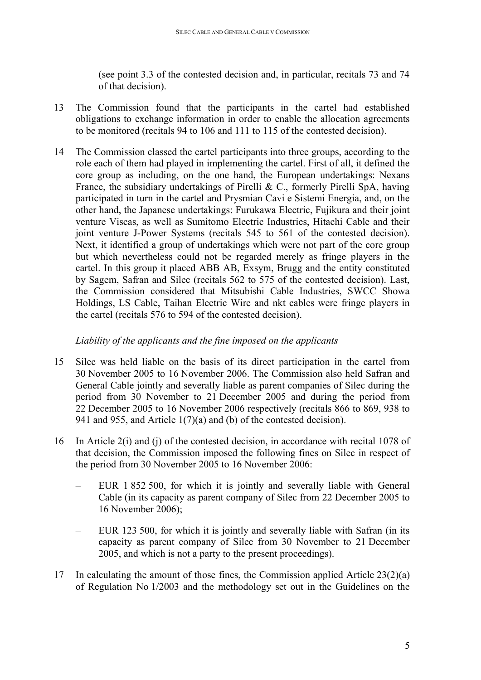(see point 3.3 of the contested decision and, in particular, recitals 73 and 74 of that decision).

- 13 The Commission found that the participants in the cartel had established obligations to exchange information in order to enable the allocation agreements to be monitored (recitals 94 to 106 and 111 to 115 of the contested decision).
- 14 The Commission classed the cartel participants into three groups, according to the role each of them had played in implementing the cartel. First of all, it defined the core group as including, on the one hand, the European undertakings: Nexans France, the subsidiary undertakings of Pirelli & C., formerly Pirelli SpA, having participated in turn in the cartel and Prysmian Cavi e Sistemi Energia, and, on the other hand, the Japanese undertakings: Furukawa Electric, Fujikura and their joint venture Viscas, as well as Sumitomo Electric Industries, Hitachi Cable and their joint venture J-Power Systems (recitals 545 to 561 of the contested decision). Next, it identified a group of undertakings which were not part of the core group but which nevertheless could not be regarded merely as fringe players in the cartel. In this group it placed ABB AB, Exsym, Brugg and the entity constituted by Sagem, Safran and Silec (recitals 562 to 575 of the contested decision). Last, the Commission considered that Mitsubishi Cable Industries, SWCC Showa Holdings, LS Cable, Taihan Electric Wire and nkt cables were fringe players in the cartel (recitals 576 to 594 of the contested decision).

#### <span id="page-4-0"></span>*Liability of the applicants and the fine imposed on the applicants*

- 15 Silec was held liable on the basis of its direct participation in the cartel from 30 November 2005 to 16 November 2006. The Commission also held Safran and General Cable jointly and severally liable as parent companies of Silec during the period from 30 November to 21 December 2005 and during the period from 22 December 2005 to 16 November 2006 respectively (recitals 866 to 869, 938 to 941 and 955, and Article 1(7)(a) and (b) of the contested decision).
- 16 In Article 2(i) and (j) of the contested decision, in accordance with recital 1078 of that decision, the Commission imposed the following fines on Silec in respect of the period from 30 November 2005 to 16 November 2006:
	- EUR 1 852 500, for which it is jointly and severally liable with General Cable (in its capacity as parent company of Silec from 22 December 2005 to 16 November 2006);
	- EUR 123 500, for which it is jointly and severally liable with Safran (in its capacity as parent company of Silec from 30 November to 21 December 2005, and which is not a party to the present proceedings).
- 17 In calculating the amount of those fines, the Commission applied Article 23(2)(a) of Regulation No 1/2003 and the methodology set out in the Guidelines on the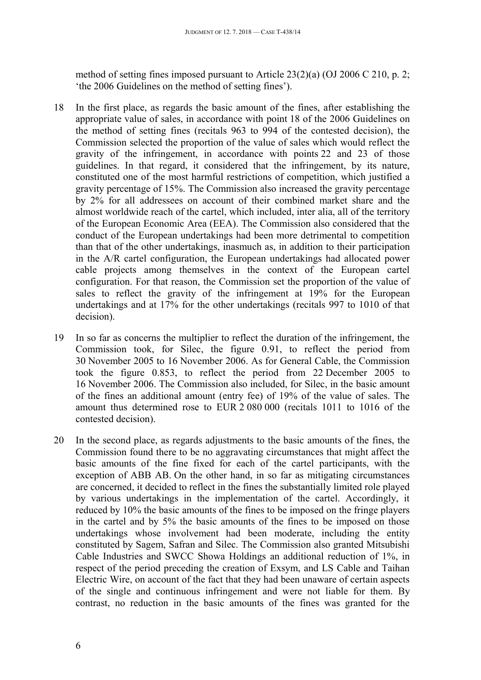method of setting fines imposed pursuant to Article 23(2)(a) (OJ 2006 C 210, p. 2; 'the 2006 Guidelines on the method of setting fines').

- 18 In the first place, as regards the basic amount of the fines, after establishing the appropriate value of sales, in accordance with point 18 of the 2006 Guidelines on the method of setting fines (recitals 963 to 994 of the contested decision), the Commission selected the proportion of the value of sales which would reflect the gravity of the infringement, in accordance with points 22 and 23 of those guidelines. In that regard, it considered that the infringement, by its nature, constituted one of the most harmful restrictions of competition, which justified a gravity percentage of 15%. The Commission also increased the gravity percentage by 2% for all addressees on account of their combined market share and the almost worldwide reach of the cartel, which included, inter alia, all of the territory of the European Economic Area (EEA). The Commission also considered that the conduct of the European undertakings had been more detrimental to competition than that of the other undertakings, inasmuch as, in addition to their participation in the A/R cartel configuration, the European undertakings had allocated power cable projects among themselves in the context of the European cartel configuration. For that reason, the Commission set the proportion of the value of sales to reflect the gravity of the infringement at 19% for the European undertakings and at 17% for the other undertakings (recitals 997 to 1010 of that decision).
- 19 In so far as concerns the multiplier to reflect the duration of the infringement, the Commission took, for Silec, the figure 0.91, to reflect the period from 30 November 2005 to 16 November 2006. As for General Cable, the Commission took the figure 0.853, to reflect the period from 22 December 2005 to 16 November 2006. The Commission also included, for Silec, in the basic amount of the fines an additional amount (entry fee) of 19% of the value of sales. The amount thus determined rose to EUR 2 080 000 (recitals 1011 to 1016 of the contested decision).
- 20 In the second place, as regards adjustments to the basic amounts of the fines, the Commission found there to be no aggravating circumstances that might affect the basic amounts of the fine fixed for each of the cartel participants, with the exception of ABB AB. On the other hand, in so far as mitigating circumstances are concerned, it decided to reflect in the fines the substantially limited role played by various undertakings in the implementation of the cartel. Accordingly, it reduced by 10% the basic amounts of the fines to be imposed on the fringe players in the cartel and by 5% the basic amounts of the fines to be imposed on those undertakings whose involvement had been moderate, including the entity constituted by Sagem, Safran and Silec. The Commission also granted Mitsubishi Cable Industries and SWCC Showa Holdings an additional reduction of 1%, in respect of the period preceding the creation of Exsym, and LS Cable and Taihan Electric Wire, on account of the fact that they had been unaware of certain aspects of the single and continuous infringement and were not liable for them. By contrast, no reduction in the basic amounts of the fines was granted for the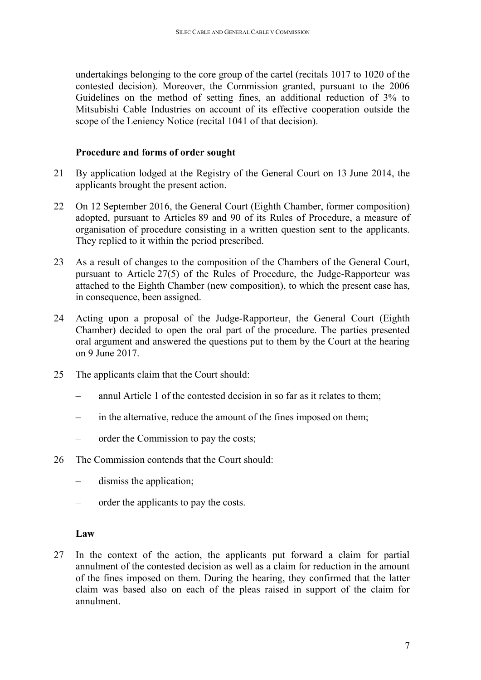undertakings belonging to the core group of the cartel (recitals 1017 to 1020 of the contested decision). Moreover, the Commission granted, pursuant to the 2006 Guidelines on the method of setting fines, an additional reduction of 3% to Mitsubishi Cable Industries on account of its effective cooperation outside the scope of the Leniency Notice (recital 1041 of that decision).

#### <span id="page-6-0"></span>**Procedure and forms of order sought**

- 21 By application lodged at the Registry of the General Court on 13 June 2014, the applicants brought the present action.
- 22 On 12 September 2016, the General Court (Eighth Chamber, former composition) adopted, pursuant to Articles 89 and 90 of its Rules of Procedure, a measure of organisation of procedure consisting in a written question sent to the applicants. They replied to it within the period prescribed.
- 23 As a result of changes to the composition of the Chambers of the General Court, pursuant to Article 27(5) of the Rules of Procedure, the Judge-Rapporteur was attached to the Eighth Chamber (new composition), to which the present case has, in consequence, been assigned.
- 24 Acting upon a proposal of the Judge-Rapporteur, the General Court (Eighth Chamber) decided to open the oral part of the procedure. The parties presented oral argument and answered the questions put to them by the Court at the hearing on 9 June 2017.
- 25 The applicants claim that the Court should:
	- annul Article 1 of the contested decision in so far as it relates to them;
	- in the alternative, reduce the amount of the fines imposed on them;
	- order the Commission to pay the costs;
- 26 The Commission contends that the Court should:
	- dismiss the application;
	- order the applicants to pay the costs.

#### <span id="page-6-1"></span>**Law**

27 In the context of the action, the applicants put forward a claim for partial annulment of the contested decision as well as a claim for reduction in the amount of the fines imposed on them. During the hearing, they confirmed that the latter claim was based also on each of the pleas raised in support of the claim for annulment.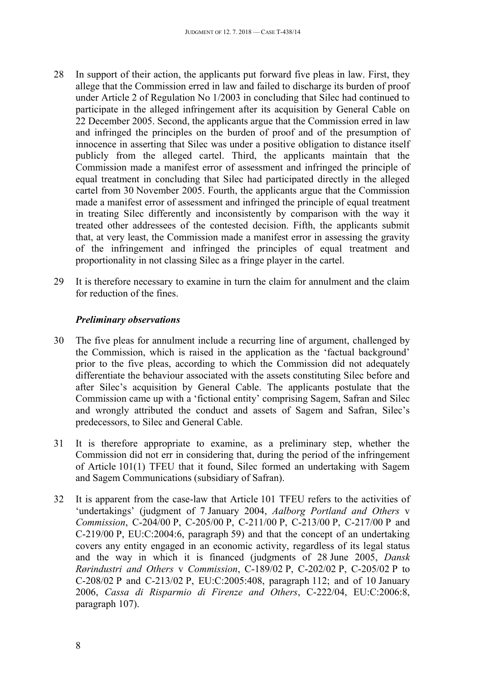- 28 In support of their action, the applicants put forward five pleas in law. First, they allege that the Commission erred in law and failed to discharge its burden of proof under Article 2 of Regulation No 1/2003 in concluding that Silec had continued to participate in the alleged infringement after its acquisition by General Cable on 22 December 2005. Second, the applicants argue that the Commission erred in law and infringed the principles on the burden of proof and of the presumption of innocence in asserting that Silec was under a positive obligation to distance itself publicly from the alleged cartel. Third, the applicants maintain that the Commission made a manifest error of assessment and infringed the principle of equal treatment in concluding that Silec had participated directly in the alleged cartel from 30 November 2005. Fourth, the applicants argue that the Commission made a manifest error of assessment and infringed the principle of equal treatment in treating Silec differently and inconsistently by comparison with the way it treated other addressees of the contested decision. Fifth, the applicants submit that, at very least, the Commission made a manifest error in assessing the gravity of the infringement and infringed the principles of equal treatment and proportionality in not classing Silec as a fringe player in the cartel.
- 29 It is therefore necessary to examine in turn the claim for annulment and the claim for reduction of the fines.

#### <span id="page-7-0"></span>*Preliminary observations*

- 30 The five pleas for annulment include a recurring line of argument, challenged by the Commission, which is raised in the application as the 'factual background' prior to the five pleas, according to which the Commission did not adequately differentiate the behaviour associated with the assets constituting Silec before and after Silec's acquisition by General Cable. The applicants postulate that the Commission came up with a 'fictional entity' comprising Sagem, Safran and Silec and wrongly attributed the conduct and assets of Sagem and Safran, Silec's predecessors, to Silec and General Cable.
- 31 It is therefore appropriate to examine, as a preliminary step, whether the Commission did not err in considering that, during the period of the infringement of Article 101(1) TFEU that it found, Silec formed an undertaking with Sagem and Sagem Communications (subsidiary of Safran).
- 32 It is apparent from the case-law that Article 101 TFEU refers to the activities of 'undertakings' (judgment of 7 January 2004, *Aalborg Portland and Others* v *Commission*, C-204/00 P, C-205/00 P, C-211/00 P, C-213/00 P, C-217/00 P and C-219/00 P, EU:C:2004:6, paragraph 59) and that the concept of an undertaking covers any entity engaged in an economic activity, regardless of its legal status and the way in which it is financed (judgments of 28 June 2005, *Dansk Rørindustri and Others* v *Commission*, C-189/02 P, C-202/02 P, C-205/02 P to C-208/02 P and C-213/02 P, EU:C:2005:408, paragraph 112; and of 10 January 2006, *Cassa di Risparmio di Firenze and Others*, C-222/04, EU:C:2006:8, paragraph 107).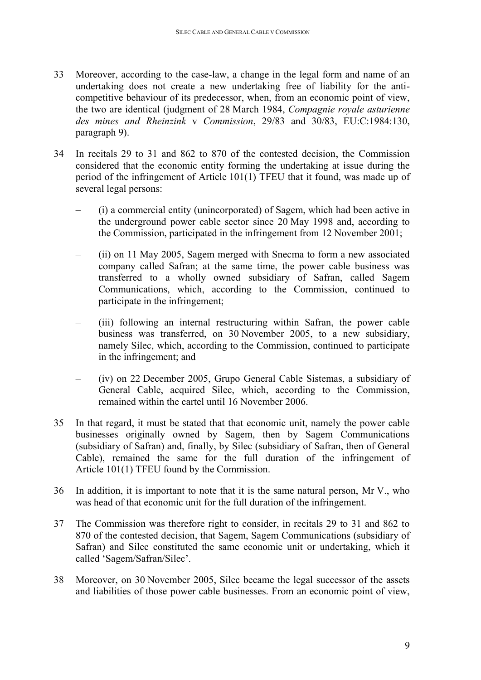- 33 Moreover, according to the case-law, a change in the legal form and name of an undertaking does not create a new undertaking free of liability for the anticompetitive behaviour of its predecessor, when, from an economic point of view, the two are identical (judgment of 28 March 1984, *Compagnie royale asturienne des mines and Rheinzink* v *Commission*, 29/83 and 30/83, EU:C:1984:130, paragraph 9).
- 34 In recitals 29 to 31 and 862 to 870 of the contested decision, the Commission considered that the economic entity forming the undertaking at issue during the period of the infringement of Article 101(1) TFEU that it found, was made up of several legal persons:
	- (i) a commercial entity (unincorporated) of Sagem, which had been active in the underground power cable sector since 20 May 1998 and, according to the Commission, participated in the infringement from 12 November 2001;
	- (ii) on 11 May 2005, Sagem merged with Snecma to form a new associated company called Safran; at the same time, the power cable business was transferred to a wholly owned subsidiary of Safran, called Sagem Communications, which, according to the Commission, continued to participate in the infringement;
	- (iii) following an internal restructuring within Safran, the power cable business was transferred, on 30 November 2005, to a new subsidiary, namely Silec, which, according to the Commission, continued to participate in the infringement; and
	- (iv) on 22 December 2005, Grupo General Cable Sistemas, a subsidiary of General Cable, acquired Silec, which, according to the Commission, remained within the cartel until 16 November 2006.
- 35 In that regard, it must be stated that that economic unit, namely the power cable businesses originally owned by Sagem, then by Sagem Communications (subsidiary of Safran) and, finally, by Silec (subsidiary of Safran, then of General Cable), remained the same for the full duration of the infringement of Article 101(1) TFEU found by the Commission.
- 36 In addition, it is important to note that it is the same natural person, Mr V., who was head of that economic unit for the full duration of the infringement.
- 37 The Commission was therefore right to consider, in recitals 29 to 31 and 862 to 870 of the contested decision, that Sagem, Sagem Communications (subsidiary of Safran) and Silec constituted the same economic unit or undertaking, which it called 'Sagem/Safran/Silec'.
- 38 Moreover, on 30 November 2005, Silec became the legal successor of the assets and liabilities of those power cable businesses. From an economic point of view,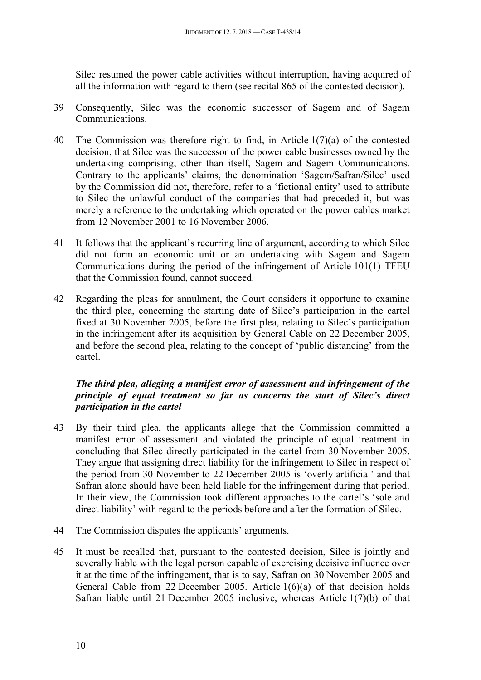Silec resumed the power cable activities without interruption, having acquired of all the information with regard to them (see recital 865 of the contested decision).

- 39 Consequently, Silec was the economic successor of Sagem and of Sagem Communications.
- 40 The Commission was therefore right to find, in Article 1(7)(a) of the contested decision, that Silec was the successor of the power cable businesses owned by the undertaking comprising, other than itself, Sagem and Sagem Communications. Contrary to the applicants' claims, the denomination 'Sagem/Safran/Silec' used by the Commission did not, therefore, refer to a 'fictional entity' used to attribute to Silec the unlawful conduct of the companies that had preceded it, but was merely a reference to the undertaking which operated on the power cables market from 12 November 2001 to 16 November 2006.
- 41 It follows that the applicant's recurring line of argument, according to which Silec did not form an economic unit or an undertaking with Sagem and Sagem Communications during the period of the infringement of Article 101(1) TFEU that the Commission found, cannot succeed.
- 42 Regarding the pleas for annulment, the Court considers it opportune to examine the third plea, concerning the starting date of Silec's participation in the cartel fixed at 30 November 2005, before the first plea, relating to Silec's participation in the infringement after its acquisition by General Cable on 22 December 2005, and before the second plea, relating to the concept of 'public distancing' from the cartel.

### <span id="page-9-0"></span>*The third plea, alleging a manifest error of assessment and infringement of the principle of equal treatment so far as concerns the start of Silec's direct participation in the cartel*

- 43 By their third plea, the applicants allege that the Commission committed a manifest error of assessment and violated the principle of equal treatment in concluding that Silec directly participated in the cartel from 30 November 2005. They argue that assigning direct liability for the infringement to Silec in respect of the period from 30 November to 22 December 2005 is 'overly artificial' and that Safran alone should have been held liable for the infringement during that period. In their view, the Commission took different approaches to the cartel's 'sole and direct liability' with regard to the periods before and after the formation of Silec.
- 44 The Commission disputes the applicants' arguments.
- 45 It must be recalled that, pursuant to the contested decision, Silec is jointly and severally liable with the legal person capable of exercising decisive influence over it at the time of the infringement, that is to say, Safran on 30 November 2005 and General Cable from 22 December 2005. Article 1(6)(a) of that decision holds Safran liable until 21 December 2005 inclusive, whereas Article 1(7)(b) of that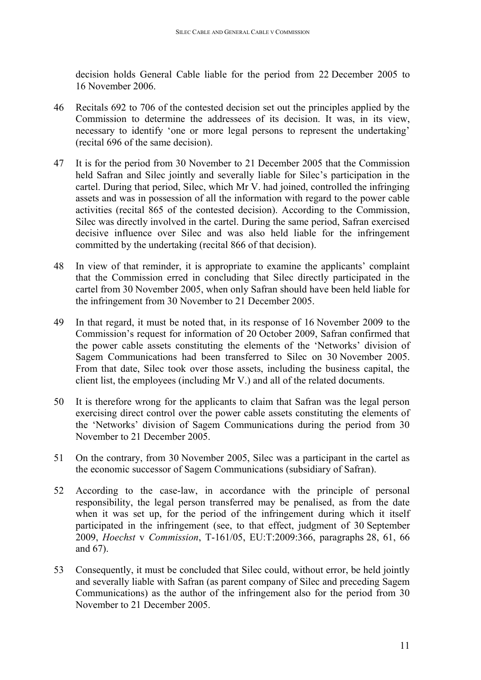decision holds General Cable liable for the period from 22 December 2005 to 16 November 2006.

- 46 Recitals 692 to 706 of the contested decision set out the principles applied by the Commission to determine the addressees of its decision. It was, in its view, necessary to identify 'one or more legal persons to represent the undertaking' (recital 696 of the same decision).
- 47 It is for the period from 30 November to 21 December 2005 that the Commission held Safran and Silec jointly and severally liable for Silec's participation in the cartel. During that period, Silec, which Mr V. had joined, controlled the infringing assets and was in possession of all the information with regard to the power cable activities (recital 865 of the contested decision). According to the Commission, Silec was directly involved in the cartel. During the same period, Safran exercised decisive influence over Silec and was also held liable for the infringement committed by the undertaking (recital 866 of that decision).
- 48 In view of that reminder, it is appropriate to examine the applicants' complaint that the Commission erred in concluding that Silec directly participated in the cartel from 30 November 2005, when only Safran should have been held liable for the infringement from 30 November to 21 December 2005.
- 49 In that regard, it must be noted that, in its response of 16 November 2009 to the Commission's request for information of 20 October 2009, Safran confirmed that the power cable assets constituting the elements of the 'Networks' division of Sagem Communications had been transferred to Silec on 30 November 2005. From that date, Silec took over those assets, including the business capital, the client list, the employees (including Mr V.) and all of the related documents.
- 50 It is therefore wrong for the applicants to claim that Safran was the legal person exercising direct control over the power cable assets constituting the elements of the 'Networks' division of Sagem Communications during the period from 30 November to 21 December 2005.
- 51 On the contrary, from 30 November 2005, Silec was a participant in the cartel as the economic successor of Sagem Communications (subsidiary of Safran).
- 52 According to the case-law, in accordance with the principle of personal responsibility, the legal person transferred may be penalised, as from the date when it was set up, for the period of the infringement during which it itself participated in the infringement (see, to that effect, judgment of 30 September 2009, *Hoechst* v *Commission*, T-161/05, EU:T:2009:366, paragraphs 28, 61, 66 and 67).
- 53 Consequently, it must be concluded that Silec could, without error, be held jointly and severally liable with Safran (as parent company of Silec and preceding Sagem Communications) as the author of the infringement also for the period from 30 November to 21 December 2005.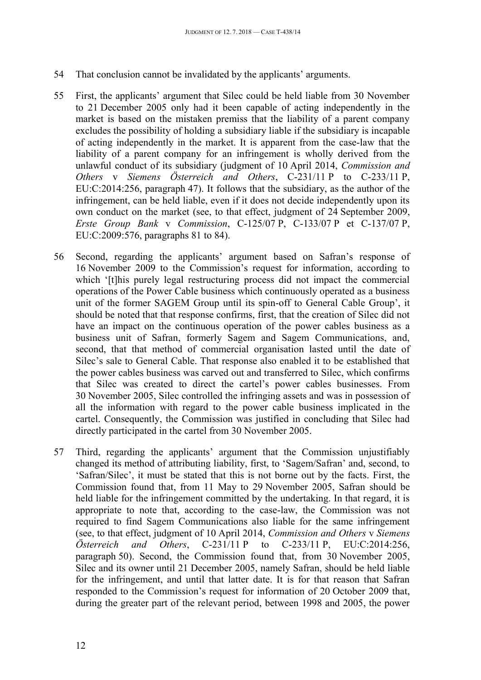- 54 That conclusion cannot be invalidated by the applicants' arguments.
- 55 First, the applicants' argument that Silec could be held liable from 30 November to 21 December 2005 only had it been capable of acting independently in the market is based on the mistaken premiss that the liability of a parent company excludes the possibility of holding a subsidiary liable if the subsidiary is incapable of acting independently in the market. It is apparent from the case-law that the liability of a parent company for an infringement is wholly derived from the unlawful conduct of its subsidiary (judgment of 10 April 2014, *Commission and Others* v *Siemens Österreich and Others*, C-231/11 P to C-233/11 P, EU:C:2014:256, paragraph 47). It follows that the subsidiary, as the author of the infringement, can be held liable, even if it does not decide independently upon its own conduct on the market (see, to that effect, judgment of 24 September 2009, *Erste Group Bank* v *Commission*, C-125/07 P, C-133/07 P et C-137/07 P, EU:C:2009:576, paragraphs 81 to 84).
- 56 Second, regarding the applicants' argument based on Safran's response of 16 November 2009 to the Commission's request for information, according to which '[t]his purely legal restructuring process did not impact the commercial operations of the Power Cable business which continuously operated as a business unit of the former SAGEM Group until its spin-off to General Cable Group', it should be noted that that response confirms, first, that the creation of Silec did not have an impact on the continuous operation of the power cables business as a business unit of Safran, formerly Sagem and Sagem Communications, and, second, that that method of commercial organisation lasted until the date of Silec's sale to General Cable. That response also enabled it to be established that the power cables business was carved out and transferred to Silec, which confirms that Silec was created to direct the cartel's power cables businesses. From 30 November 2005, Silec controlled the infringing assets and was in possession of all the information with regard to the power cable business implicated in the cartel. Consequently, the Commission was justified in concluding that Silec had directly participated in the cartel from 30 November 2005.
- 57 Third, regarding the applicants' argument that the Commission unjustifiably changed its method of attributing liability, first, to 'Sagem/Safran' and, second, to 'Safran/Silec', it must be stated that this is not borne out by the facts. First, the Commission found that, from 11 May to 29 November 2005, Safran should be held liable for the infringement committed by the undertaking. In that regard, it is appropriate to note that, according to the case-law, the Commission was not required to find Sagem Communications also liable for the same infringement (see, to that effect, judgment of 10 April 2014, *Commission and Others* v *Siemens Österreich and Others*, C-231/11 P to C-233/11 P, EU:C:2014:256, paragraph 50). Second, the Commission found that, from 30 November 2005, Silec and its owner until 21 December 2005, namely Safran, should be held liable for the infringement, and until that latter date. It is for that reason that Safran responded to the Commission's request for information of 20 October 2009 that, during the greater part of the relevant period, between 1998 and 2005, the power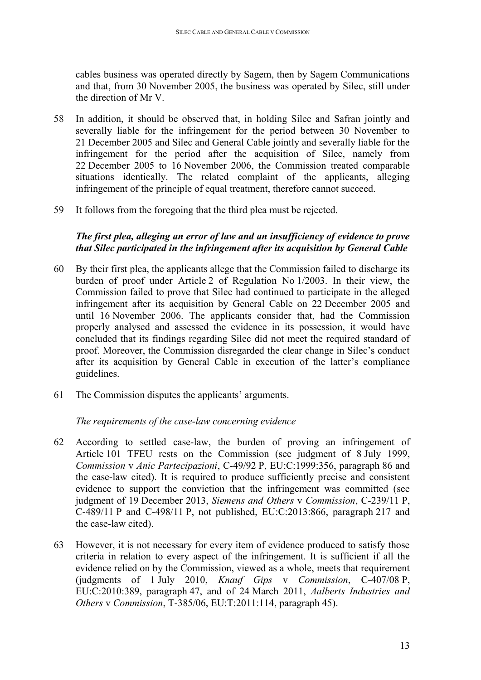cables business was operated directly by Sagem, then by Sagem Communications and that, from 30 November 2005, the business was operated by Silec, still under the direction of Mr V.

- 58 In addition, it should be observed that, in holding Silec and Safran jointly and severally liable for the infringement for the period between 30 November to 21 December 2005 and Silec and General Cable jointly and severally liable for the infringement for the period after the acquisition of Silec, namely from 22 December 2005 to 16 November 2006, the Commission treated comparable situations identically. The related complaint of the applicants, alleging infringement of the principle of equal treatment, therefore cannot succeed.
- 59 It follows from the foregoing that the third plea must be rejected.

#### <span id="page-12-0"></span>*The first plea, alleging an error of law and an insufficiency of evidence to prove that Silec participated in the infringement after its acquisition by General Cable*

- 60 By their first plea, the applicants allege that the Commission failed to discharge its burden of proof under Article 2 of Regulation No 1/2003. In their view, the Commission failed to prove that Silec had continued to participate in the alleged infringement after its acquisition by General Cable on 22 December 2005 and until 16 November 2006. The applicants consider that, had the Commission properly analysed and assessed the evidence in its possession, it would have concluded that its findings regarding Silec did not meet the required standard of proof. Moreover, the Commission disregarded the clear change in Silec's conduct after its acquisition by General Cable in execution of the latter's compliance guidelines.
- 61 The Commission disputes the applicants' arguments.

#### <span id="page-12-1"></span>*The requirements of the case-law concerning evidence*

- 62 According to settled case-law, the burden of proving an infringement of Article 101 TFEU rests on the Commission (see judgment of 8 July 1999, *Commission* v *Anic Partecipazioni*, C-49/92 P, EU:C:1999:356, paragraph 86 and the case-law cited). It is required to produce sufficiently precise and consistent evidence to support the conviction that the infringement was committed (see judgment of 19 December 2013, *Siemens and Others* v *Commission*, C-239/11 P, C-489/11 P and C-498/11 P, not published, EU:C:2013:866, paragraph 217 and the case-law cited).
- 63 However, it is not necessary for every item of evidence produced to satisfy those criteria in relation to every aspect of the infringement. It is sufficient if all the evidence relied on by the Commission, viewed as a whole, meets that requirement (judgments of 1 July 2010, *Knauf Gips* v *Commission*, C-407/08 P, EU:C:2010:389, paragraph 47, and of 24 March 2011, *Aalberts Industries and Others* v *Commission*, T-385/06, EU:T:2011:114, paragraph 45).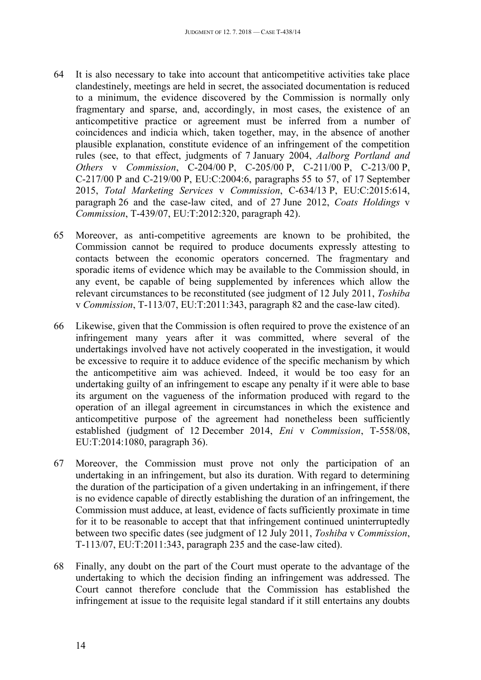- 64 It is also necessary to take into account that anticompetitive activities take place clandestinely, meetings are held in secret, the associated documentation is reduced to a minimum, the evidence discovered by the Commission is normally only fragmentary and sparse, and, accordingly, in most cases, the existence of an anticompetitive practice or agreement must be inferred from a number of coincidences and indicia which, taken together, may, in the absence of another plausible explanation, constitute evidence of an infringement of the competition rules (see, to that effect, judgments of 7 January 2004, *Aalborg Portland and Others* v *Commission*, C-204/00 P, C-205/00 P, C-211/00 P, C-213/00 P, C-217/00 P and C-219/00 P, EU:C:2004:6, paragraphs 55 to 57, of 17 September 2015, *Total Marketing Services* v *Commission*, C-634/13 P, EU:C:2015:614, paragraph 26 and the case-law cited, and of 27 June 2012, *Coats Holdings* v *Commission*, T-439/07, EU:T:2012:320, paragraph 42).
- 65 Moreover, as anti-competitive agreements are known to be prohibited, the Commission cannot be required to produce documents expressly attesting to contacts between the economic operators concerned. The fragmentary and sporadic items of evidence which may be available to the Commission should, in any event, be capable of being supplemented by inferences which allow the relevant circumstances to be reconstituted (see judgment of 12 July 2011, *Toshiba* v *Commission*, T-113/07, EU:T:2011:343, paragraph 82 and the case-law cited).
- 66 Likewise, given that the Commission is often required to prove the existence of an infringement many years after it was committed, where several of the undertakings involved have not actively cooperated in the investigation, it would be excessive to require it to adduce evidence of the specific mechanism by which the anticompetitive aim was achieved. Indeed, it would be too easy for an undertaking guilty of an infringement to escape any penalty if it were able to base its argument on the vagueness of the information produced with regard to the operation of an illegal agreement in circumstances in which the existence and anticompetitive purpose of the agreement had nonetheless been sufficiently established (judgment of 12 December 2014, *Eni* v *Commission*, T-558/08, EU:T:2014:1080, paragraph 36).
- 67 Moreover, the Commission must prove not only the participation of an undertaking in an infringement, but also its duration. With regard to determining the duration of the participation of a given undertaking in an infringement, if there is no evidence capable of directly establishing the duration of an infringement, the Commission must adduce, at least, evidence of facts sufficiently proximate in time for it to be reasonable to accept that that infringement continued uninterruptedly between two specific dates (see judgment of 12 July 2011, *Toshiba* v *Commission*, T-113/07, EU:T:2011:343, paragraph 235 and the case-law cited).
- 68 Finally, any doubt on the part of the Court must operate to the advantage of the undertaking to which the decision finding an infringement was addressed. The Court cannot therefore conclude that the Commission has established the infringement at issue to the requisite legal standard if it still entertains any doubts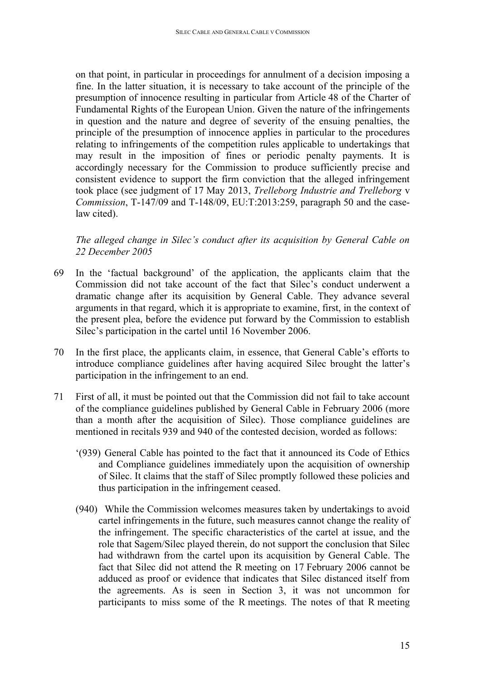on that point, in particular in proceedings for annulment of a decision imposing a fine. In the latter situation, it is necessary to take account of the principle of the presumption of innocence resulting in particular from Article 48 of the Charter of Fundamental Rights of the European Union. Given the nature of the infringements in question and the nature and degree of severity of the ensuing penalties, the principle of the presumption of innocence applies in particular to the procedures relating to infringements of the competition rules applicable to undertakings that may result in the imposition of fines or periodic penalty payments. It is accordingly necessary for the Commission to produce sufficiently precise and consistent evidence to support the firm conviction that the alleged infringement took place (see judgment of 17 May 2013, *Trelleborg Industrie and Trelleborg* v *Commission*, T-147/09 and T-148/09, EU:T:2013:259, paragraph 50 and the caselaw cited).

<span id="page-14-0"></span>*The alleged change in Silec's conduct after its acquisition by General Cable on 22 December 2005*

- 69 In the 'factual background' of the application, the applicants claim that the Commission did not take account of the fact that Silec's conduct underwent a dramatic change after its acquisition by General Cable. They advance several arguments in that regard, which it is appropriate to examine, first, in the context of the present plea, before the evidence put forward by the Commission to establish Silec's participation in the cartel until 16 November 2006.
- 70 In the first place, the applicants claim, in essence, that General Cable's efforts to introduce compliance guidelines after having acquired Silec brought the latter's participation in the infringement to an end.
- 71 First of all, it must be pointed out that the Commission did not fail to take account of the compliance guidelines published by General Cable in February 2006 (more than a month after the acquisition of Silec). Those compliance guidelines are mentioned in recitals 939 and 940 of the contested decision, worded as follows:
	- '(939) General Cable has pointed to the fact that it announced its Code of Ethics and Compliance guidelines immediately upon the acquisition of ownership of Silec. It claims that the staff of Silec promptly followed these policies and thus participation in the infringement ceased.
	- (940) While the Commission welcomes measures taken by undertakings to avoid cartel infringements in the future, such measures cannot change the reality of the infringement. The specific characteristics of the cartel at issue, and the role that Sagem/Silec played therein, do not support the conclusion that Silec had withdrawn from the cartel upon its acquisition by General Cable. The fact that Silec did not attend the R meeting on 17 February 2006 cannot be adduced as proof or evidence that indicates that Silec distanced itself from the agreements. As is seen in Section 3, it was not uncommon for participants to miss some of the R meetings. The notes of that R meeting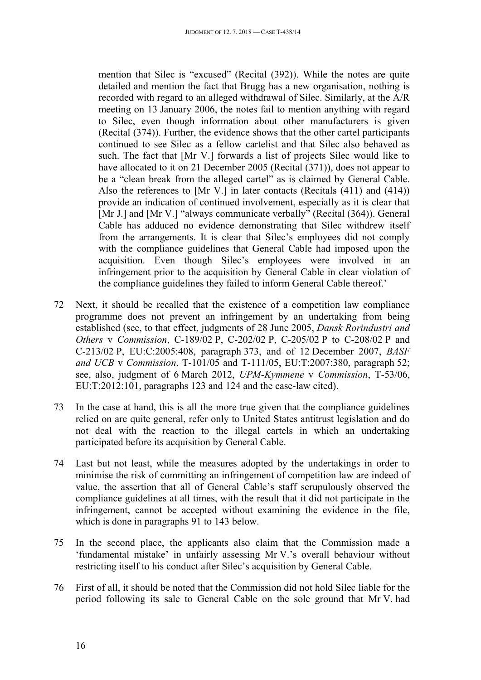mention that Silec is "excused" (Recital (392)). While the notes are quite detailed and mention the fact that Brugg has a new organisation, nothing is recorded with regard to an alleged withdrawal of Silec. Similarly, at the A/R meeting on 13 January 2006, the notes fail to mention anything with regard to Silec, even though information about other manufacturers is given (Recital (374)). Further, the evidence shows that the other cartel participants continued to see Silec as a fellow cartelist and that Silec also behaved as such. The fact that [Mr V.] forwards a list of projects Silec would like to have allocated to it on 21 December 2005 (Recital (371)), does not appear to be a "clean break from the alleged cartel" as is claimed by General Cable. Also the references to [Mr V.] in later contacts (Recitals (411) and (414)) provide an indication of continued involvement, especially as it is clear that [Mr J.] and [Mr V.] "always communicate verbally" (Recital (364)). General Cable has adduced no evidence demonstrating that Silec withdrew itself from the arrangements. It is clear that Silec's employees did not comply with the compliance guidelines that General Cable had imposed upon the acquisition. Even though Silec's employees were involved in an infringement prior to the acquisition by General Cable in clear violation of the compliance guidelines they failed to inform General Cable thereof.'

- 72 Next, it should be recalled that the existence of a competition law compliance programme does not prevent an infringement by an undertaking from being established (see, to that effect, judgments of 28 June 2005, *Dansk Rorindustri and Others* v *Commission*, C-189/02 P, C-202/02 P, C-205/02 P to C-208/02 P and C-213/02 P, EU:C:2005:408, paragraph 373, and of 12 December 2007, *BASF and UCB* v *Commission*, T-101/05 and T-111/05, EU:T:2007:380, paragraph 52; see, also, judgment of 6 March 2012, *UPM-Kymmene* v *Commission*, T-53/06, EU:T:2012:101, paragraphs 123 and 124 and the case-law cited).
- 73 In the case at hand, this is all the more true given that the compliance guidelines relied on are quite general, refer only to United States antitrust legislation and do not deal with the reaction to the illegal cartels in which an undertaking participated before its acquisition by General Cable.
- 74 Last but not least, while the measures adopted by the undertakings in order to minimise the risk of committing an infringement of competition law are indeed of value, the assertion that all of General Cable's staff scrupulously observed the compliance guidelines at all times, with the result that it did not participate in the infringement, cannot be accepted without examining the evidence in the file, which is done in paragraphs 91 to 143 below.
- 75 In the second place, the applicants also claim that the Commission made a 'fundamental mistake' in unfairly assessing Mr V.'s overall behaviour without restricting itself to his conduct after Silec's acquisition by General Cable.
- 76 First of all, it should be noted that the Commission did not hold Silec liable for the period following its sale to General Cable on the sole ground that Mr V. had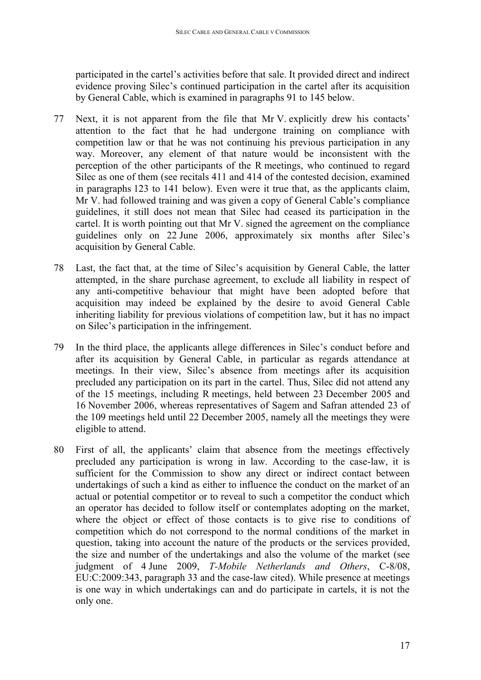participated in the cartel's activities before that sale. It provided direct and indirect evidence proving Silec's continued participation in the cartel after its acquisition by General Cable, which is examined in paragraphs 91 to 145 below.

- 77 Next, it is not apparent from the file that Mr V. explicitly drew his contacts' attention to the fact that he had undergone training on compliance with competition law or that he was not continuing his previous participation in any way. Moreover, any element of that nature would be inconsistent with the perception of the other participants of the R meetings, who continued to regard Silec as one of them (see recitals 411 and 414 of the contested decision, examined in paragraphs 123 to 141 below). Even were it true that, as the applicants claim, Mr V. had followed training and was given a copy of General Cable's compliance guidelines, it still does not mean that Silec had ceased its participation in the cartel. It is worth pointing out that Mr V. signed the agreement on the compliance guidelines only on 22 June 2006, approximately six months after Silec's acquisition by General Cable.
- 78 Last, the fact that, at the time of Silec's acquisition by General Cable, the latter attempted, in the share purchase agreement, to exclude all liability in respect of any anti-competitive behaviour that might have been adopted before that acquisition may indeed be explained by the desire to avoid General Cable inheriting liability for previous violations of competition law, but it has no impact on Silec's participation in the infringement.
- 79 In the third place, the applicants allege differences in Silec's conduct before and after its acquisition by General Cable, in particular as regards attendance at meetings. In their view, Silec's absence from meetings after its acquisition precluded any participation on its part in the cartel. Thus, Silec did not attend any of the 15 meetings, including R meetings, held between 23 December 2005 and 16 November 2006, whereas representatives of Sagem and Safran attended 23 of the 109 meetings held until 22 December 2005, namely all the meetings they were eligible to attend.
- 80 First of all, the applicants' claim that absence from the meetings effectively precluded any participation is wrong in law. According to the case-law, it is sufficient for the Commission to show any direct or indirect contact between undertakings of such a kind as either to influence the conduct on the market of an actual or potential competitor or to reveal to such a competitor the conduct which an operator has decided to follow itself or contemplates adopting on the market, where the object or effect of those contacts is to give rise to conditions of competition which do not correspond to the normal conditions of the market in question, taking into account the nature of the products or the services provided, the size and number of the undertakings and also the volume of the market (see judgment of 4 June 2009, *T-Mobile Netherlands and Others*, C-8/08, EU:C:2009:343, paragraph 33 and the case-law cited). While presence at meetings is one way in which undertakings can and do participate in cartels, it is not the only one.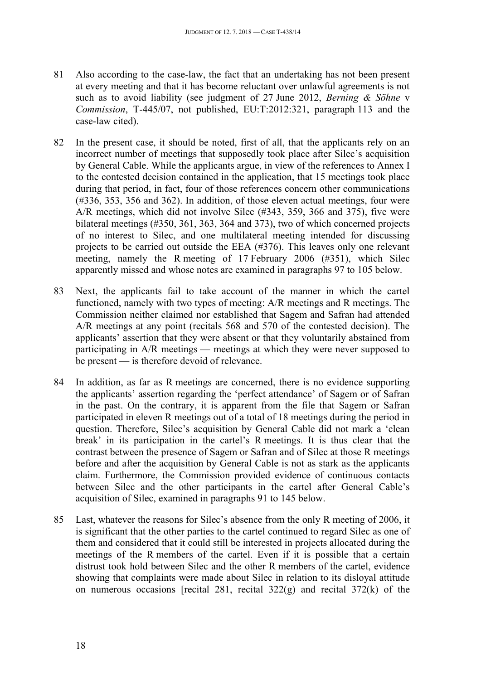- 81 Also according to the case-law, the fact that an undertaking has not been present at every meeting and that it has become reluctant over unlawful agreements is not such as to avoid liability (see judgment of 27 June 2012, *Berning & Söhne* v *Commission*, T-445/07, not published, EU:T:2012:321, paragraph 113 and the case-law cited).
- 82 In the present case, it should be noted, first of all, that the applicants rely on an incorrect number of meetings that supposedly took place after Silec's acquisition by General Cable. While the applicants argue, in view of the references to Annex I to the contested decision contained in the application, that 15 meetings took place during that period, in fact, four of those references concern other communications (#336, 353, 356 and 362). In addition, of those eleven actual meetings, four were A/R meetings, which did not involve Silec (#343, 359, 366 and 375), five were bilateral meetings (#350, 361, 363, 364 and 373), two of which concerned projects of no interest to Silec, and one multilateral meeting intended for discussing projects to be carried out outside the EEA (#376). This leaves only one relevant meeting, namely the R meeting of 17 February 2006 (#351), which Silec apparently missed and whose notes are examined in paragraphs 97 to 105 below.
- 83 Next, the applicants fail to take account of the manner in which the cartel functioned, namely with two types of meeting: A/R meetings and R meetings. The Commission neither claimed nor established that Sagem and Safran had attended A/R meetings at any point (recitals 568 and 570 of the contested decision). The applicants' assertion that they were absent or that they voluntarily abstained from participating in A/R meetings — meetings at which they were never supposed to be present — is therefore devoid of relevance.
- 84 In addition, as far as R meetings are concerned, there is no evidence supporting the applicants' assertion regarding the 'perfect attendance' of Sagem or of Safran in the past. On the contrary, it is apparent from the file that Sagem or Safran participated in eleven R meetings out of a total of 18 meetings during the period in question. Therefore, Silec's acquisition by General Cable did not mark a 'clean break' in its participation in the cartel's R meetings. It is thus clear that the contrast between the presence of Sagem or Safran and of Silec at those R meetings before and after the acquisition by General Cable is not as stark as the applicants claim. Furthermore, the Commission provided evidence of continuous contacts between Silec and the other participants in the cartel after General Cable's acquisition of Silec, examined in paragraphs 91 to 145 below.
- 85 Last, whatever the reasons for Silec's absence from the only R meeting of 2006, it is significant that the other parties to the cartel continued to regard Silec as one of them and considered that it could still be interested in projects allocated during the meetings of the R members of the cartel. Even if it is possible that a certain distrust took hold between Silec and the other R members of the cartel, evidence showing that complaints were made about Silec in relation to its disloyal attitude on numerous occasions [recital 281, recital 322(g) and recital 372(k) of the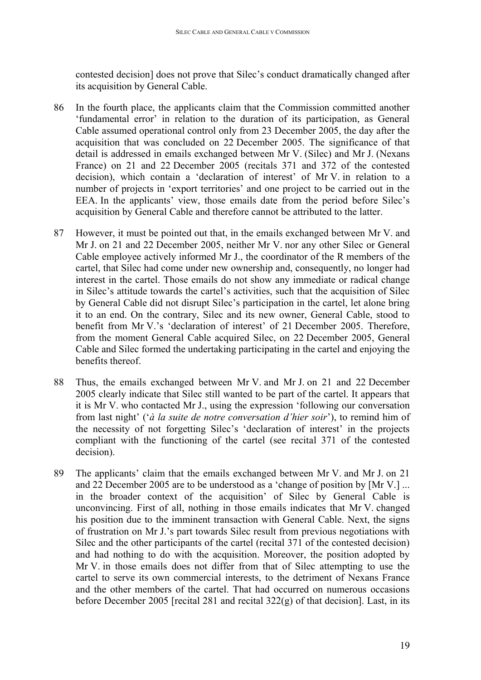contested decision] does not prove that Silec's conduct dramatically changed after its acquisition by General Cable.

- 86 In the fourth place, the applicants claim that the Commission committed another 'fundamental error' in relation to the duration of its participation, as General Cable assumed operational control only from 23 December 2005, the day after the acquisition that was concluded on 22 December 2005. The significance of that detail is addressed in emails exchanged between Mr V. (Silec) and Mr J. (Nexans France) on 21 and 22 December 2005 (recitals 371 and 372 of the contested decision), which contain a 'declaration of interest' of Mr V. in relation to a number of projects in 'export territories' and one project to be carried out in the EEA. In the applicants' view, those emails date from the period before Silec's acquisition by General Cable and therefore cannot be attributed to the latter.
- 87 However, it must be pointed out that, in the emails exchanged between Mr V. and Mr J. on 21 and 22 December 2005, neither Mr V. nor any other Silec or General Cable employee actively informed Mr J., the coordinator of the R members of the cartel, that Silec had come under new ownership and, consequently, no longer had interest in the cartel. Those emails do not show any immediate or radical change in Silec's attitude towards the cartel's activities, such that the acquisition of Silec by General Cable did not disrupt Silec's participation in the cartel, let alone bring it to an end. On the contrary, Silec and its new owner, General Cable, stood to benefit from Mr V.'s 'declaration of interest' of 21 December 2005. Therefore, from the moment General Cable acquired Silec, on 22 December 2005, General Cable and Silec formed the undertaking participating in the cartel and enjoying the benefits thereof.
- 88 Thus, the emails exchanged between Mr V. and Mr J. on 21 and 22 December 2005 clearly indicate that Silec still wanted to be part of the cartel. It appears that it is Mr V. who contacted Mr J., using the expression 'following our conversation from last night' ('*à la suite de notre conversation d'hier soir*'), to remind him of the necessity of not forgetting Silec's 'declaration of interest' in the projects compliant with the functioning of the cartel (see recital 371 of the contested decision).
- 89 The applicants' claim that the emails exchanged between Mr V. and Mr J. on 21 and 22 December 2005 are to be understood as a 'change of position by [Mr V.] ... in the broader context of the acquisition' of Silec by General Cable is unconvincing. First of all, nothing in those emails indicates that Mr V. changed his position due to the imminent transaction with General Cable. Next, the signs of frustration on Mr J.'s part towards Silec result from previous negotiations with Silec and the other participants of the cartel (recital 371 of the contested decision) and had nothing to do with the acquisition. Moreover, the position adopted by Mr V. in those emails does not differ from that of Silec attempting to use the cartel to serve its own commercial interests, to the detriment of Nexans France and the other members of the cartel. That had occurred on numerous occasions before December 2005 [recital 281 and recital 322(g) of that decision]. Last, in its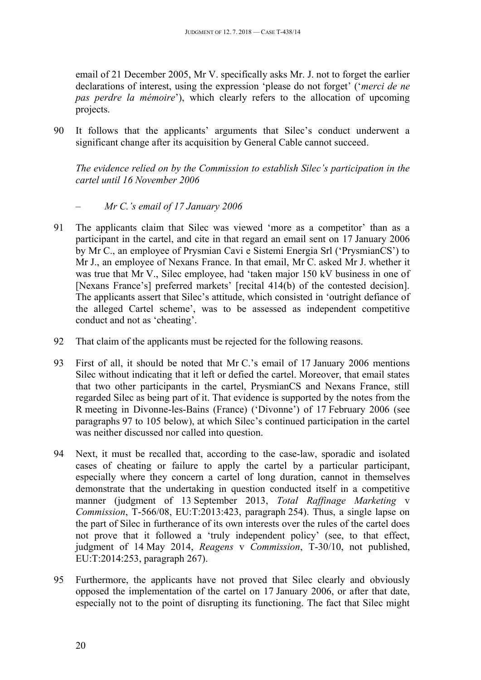email of 21 December 2005, Mr V. specifically asks Mr. J. not to forget the earlier declarations of interest, using the expression 'please do not forget' ('*merci de ne pas perdre la mémoire*'), which clearly refers to the allocation of upcoming projects.

90 It follows that the applicants' arguments that Silec's conduct underwent a significant change after its acquisition by General Cable cannot succeed.

<span id="page-19-0"></span>*The evidence relied on by the Commission to establish Silec's participation in the cartel until 16 November 2006*

## <span id="page-19-1"></span>*– Mr C.'s email of 17 January 2006*

- 91 The applicants claim that Silec was viewed 'more as a competitor' than as a participant in the cartel, and cite in that regard an email sent on 17 January 2006 by Mr C., an employee of Prysmian Cavi e Sistemi Energia Srl ('PrysmianCS') to Mr J., an employee of Nexans France. In that email, Mr C. asked Mr J. whether it was true that Mr V., Silec employee, had 'taken major 150 kV business in one of [Nexans France's] preferred markets' [recital 414(b) of the contested decision]. The applicants assert that Silec's attitude, which consisted in 'outright defiance of the alleged Cartel scheme', was to be assessed as independent competitive conduct and not as 'cheating'.
- 92 That claim of the applicants must be rejected for the following reasons.
- 93 First of all, it should be noted that Mr C.'s email of 17 January 2006 mentions Silec without indicating that it left or defied the cartel. Moreover, that email states that two other participants in the cartel, PrysmianCS and Nexans France, still regarded Silec as being part of it. That evidence is supported by the notes from the R meeting in Divonne-les-Bains (France) ('Divonne') of 17 February 2006 (see paragraphs 97 to 105 below), at which Silec's continued participation in the cartel was neither discussed nor called into question.
- 94 Next, it must be recalled that, according to the case-law, sporadic and isolated cases of cheating or failure to apply the cartel by a particular participant, especially where they concern a cartel of long duration, cannot in themselves demonstrate that the undertaking in question conducted itself in a competitive manner (judgment of 13 September 2013, *Total Raffinage Marketing* v *Commission*, T-566/08, EU:T:2013:423, paragraph 254). Thus, a single lapse on the part of Silec in furtherance of its own interests over the rules of the cartel does not prove that it followed a 'truly independent policy' (see, to that effect, judgment of 14 May 2014, *Reagens* v *Commission*, T-30/10, not published, EU:T:2014:253, paragraph 267).
- 95 Furthermore, the applicants have not proved that Silec clearly and obviously opposed the implementation of the cartel on 17 January 2006, or after that date, especially not to the point of disrupting its functioning. The fact that Silec might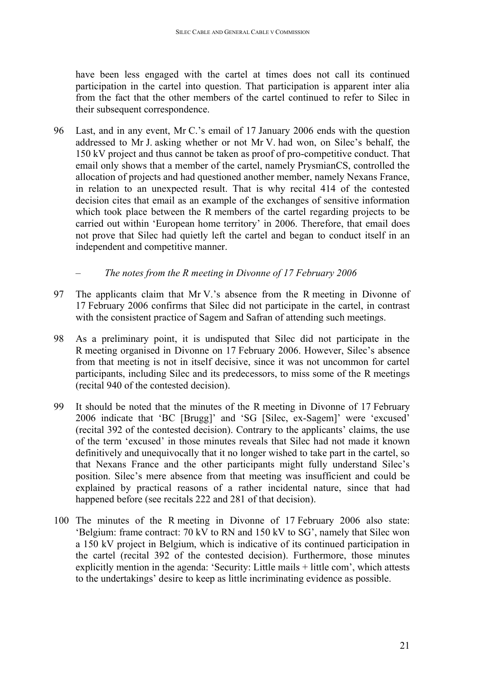have been less engaged with the cartel at times does not call its continued participation in the cartel into question. That participation is apparent inter alia from the fact that the other members of the cartel continued to refer to Silec in their subsequent correspondence.

96 Last, and in any event, Mr C.'s email of 17 January 2006 ends with the question addressed to Mr J. asking whether or not Mr V. had won, on Silec's behalf, the 150 kV project and thus cannot be taken as proof of pro-competitive conduct. That email only shows that a member of the cartel, namely PrysmianCS, controlled the allocation of projects and had questioned another member, namely Nexans France, in relation to an unexpected result. That is why recital 414 of the contested decision cites that email as an example of the exchanges of sensitive information which took place between the R members of the cartel regarding projects to be carried out within 'European home territory' in 2006. Therefore, that email does not prove that Silec had quietly left the cartel and began to conduct itself in an independent and competitive manner.

### <span id="page-20-0"></span>*– The notes from the R meeting in Divonne of 17 February 2006*

- 97 The applicants claim that Mr V.'s absence from the R meeting in Divonne of 17 February 2006 confirms that Silec did not participate in the cartel, in contrast with the consistent practice of Sagem and Safran of attending such meetings.
- 98 As a preliminary point, it is undisputed that Silec did not participate in the R meeting organised in Divonne on 17 February 2006. However, Silec's absence from that meeting is not in itself decisive, since it was not uncommon for cartel participants, including Silec and its predecessors, to miss some of the R meetings (recital 940 of the contested decision).
- 99 It should be noted that the minutes of the R meeting in Divonne of 17 February 2006 indicate that 'BC [Brugg]' and 'SG [Silec, ex-Sagem]' were 'excused' (recital 392 of the contested decision). Contrary to the applicants' claims, the use of the term 'excused' in those minutes reveals that Silec had not made it known definitively and unequivocally that it no longer wished to take part in the cartel, so that Nexans France and the other participants might fully understand Silec's position. Silec's mere absence from that meeting was insufficient and could be explained by practical reasons of a rather incidental nature, since that had happened before (see recitals 222 and 281 of that decision).
- 100 The minutes of the R meeting in Divonne of 17 February 2006 also state: 'Belgium: frame contract: 70 kV to RN and 150 kV to SG', namely that Silec won a 150 kV project in Belgium, which is indicative of its continued participation in the cartel (recital 392 of the contested decision). Furthermore, those minutes explicitly mention in the agenda: 'Security: Little mails + little com', which attests to the undertakings' desire to keep as little incriminating evidence as possible.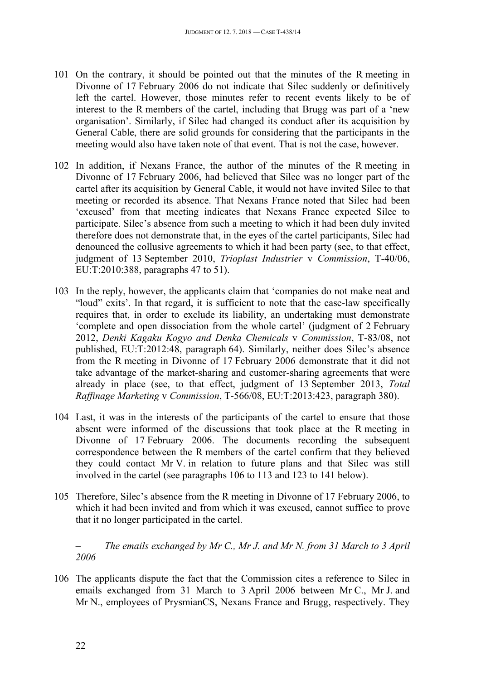- 101 On the contrary, it should be pointed out that the minutes of the R meeting in Divonne of 17 February 2006 do not indicate that Silec suddenly or definitively left the cartel. However, those minutes refer to recent events likely to be of interest to the R members of the cartel, including that Brugg was part of a 'new organisation'. Similarly, if Silec had changed its conduct after its acquisition by General Cable, there are solid grounds for considering that the participants in the meeting would also have taken note of that event. That is not the case, however.
- 102 In addition, if Nexans France, the author of the minutes of the R meeting in Divonne of 17 February 2006, had believed that Silec was no longer part of the cartel after its acquisition by General Cable, it would not have invited Silec to that meeting or recorded its absence. That Nexans France noted that Silec had been 'excused' from that meeting indicates that Nexans France expected Silec to participate. Silec's absence from such a meeting to which it had been duly invited therefore does not demonstrate that, in the eyes of the cartel participants, Silec had denounced the collusive agreements to which it had been party (see, to that effect, judgment of 13 September 2010, *Trioplast Industrier* v *Commission*, T-40/06, EU:T:2010:388, paragraphs 47 to 51).
- 103 In the reply, however, the applicants claim that 'companies do not make neat and "loud" exits'. In that regard, it is sufficient to note that the case-law specifically requires that, in order to exclude its liability, an undertaking must demonstrate 'complete and open dissociation from the whole cartel' (judgment of 2 February 2012, *Denki Kagaku Kogyo and Denka Chemicals* v *Commission*, T-83/08, not published, EU:T:2012:48, paragraph 64). Similarly, neither does Silec's absence from the R meeting in Divonne of 17 February 2006 demonstrate that it did not take advantage of the market-sharing and customer-sharing agreements that were already in place (see, to that effect, judgment of 13 September 2013, *Total Raffinage Marketing* v *Commission*, T-566/08, EU:T:2013:423, paragraph 380).
- 104 Last, it was in the interests of the participants of the cartel to ensure that those absent were informed of the discussions that took place at the R meeting in Divonne of 17 February 2006. The documents recording the subsequent correspondence between the R members of the cartel confirm that they believed they could contact Mr V. in relation to future plans and that Silec was still involved in the cartel (see paragraphs 106 to 113 and 123 to 141 below).
- 105 Therefore, Silec's absence from the R meeting in Divonne of 17 February 2006, to which it had been invited and from which it was excused, cannot suffice to prove that it no longer participated in the cartel.

<span id="page-21-0"></span>*– The emails exchanged by Mr C., Mr J. and Mr N. from 31 March to 3 April 2006*

106 The applicants dispute the fact that the Commission cites a reference to Silec in emails exchanged from 31 March to 3 April 2006 between Mr C., Mr J. and Mr N., employees of PrysmianCS, Nexans France and Brugg, respectively. They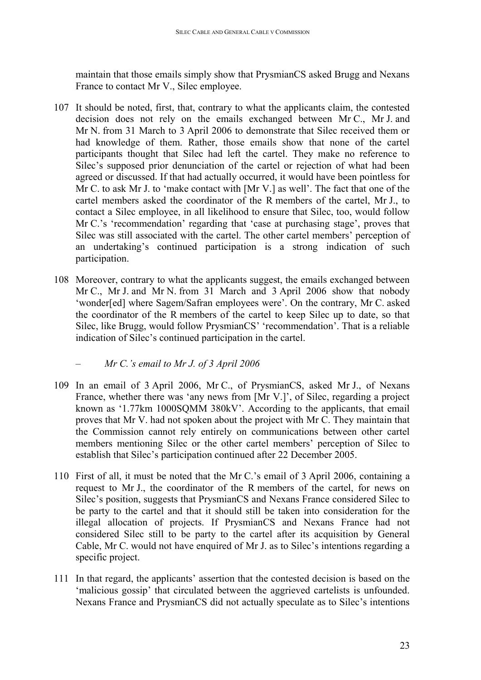maintain that those emails simply show that PrysmianCS asked Brugg and Nexans France to contact Mr V., Silec employee.

- 107 It should be noted, first, that, contrary to what the applicants claim, the contested decision does not rely on the emails exchanged between Mr C., Mr J. and Mr N. from 31 March to 3 April 2006 to demonstrate that Silec received them or had knowledge of them. Rather, those emails show that none of the cartel participants thought that Silec had left the cartel. They make no reference to Silec's supposed prior denunciation of the cartel or rejection of what had been agreed or discussed. If that had actually occurred, it would have been pointless for Mr C. to ask Mr J. to 'make contact with [Mr V.] as well'. The fact that one of the cartel members asked the coordinator of the R members of the cartel, Mr J., to contact a Silec employee, in all likelihood to ensure that Silec, too, would follow Mr C.'s 'recommendation' regarding that 'case at purchasing stage', proves that Silec was still associated with the cartel. The other cartel members' perception of an undertaking's continued participation is a strong indication of such participation.
- 108 Moreover, contrary to what the applicants suggest, the emails exchanged between Mr C., Mr J. and Mr N. from 31 March and 3 April 2006 show that nobody 'wonder[ed] where Sagem/Safran employees were'. On the contrary, Mr C. asked the coordinator of the R members of the cartel to keep Silec up to date, so that Silec, like Brugg, would follow PrysmianCS' 'recommendation'. That is a reliable indication of Silec's continued participation in the cartel.
	- *– Mr C.'s email to Mr J. of 3 April 2006*
- <span id="page-22-0"></span>109 In an email of 3 April 2006, Mr C., of PrysmianCS, asked Mr J., of Nexans France, whether there was 'any news from [Mr V.]', of Silec, regarding a project known as '1.77km 1000SQMM 380kV'. According to the applicants, that email proves that Mr V. had not spoken about the project with Mr C. They maintain that the Commission cannot rely entirely on communications between other cartel members mentioning Silec or the other cartel members' perception of Silec to establish that Silec's participation continued after 22 December 2005.
- 110 First of all, it must be noted that the Mr C.'s email of 3 April 2006, containing a request to Mr J., the coordinator of the R members of the cartel, for news on Silec's position, suggests that PrysmianCS and Nexans France considered Silec to be party to the cartel and that it should still be taken into consideration for the illegal allocation of projects. If PrysmianCS and Nexans France had not considered Silec still to be party to the cartel after its acquisition by General Cable, Mr C. would not have enquired of Mr J. as to Silec's intentions regarding a specific project.
- 111 In that regard, the applicants' assertion that the contested decision is based on the 'malicious gossip' that circulated between the aggrieved cartelists is unfounded. Nexans France and PrysmianCS did not actually speculate as to Silec's intentions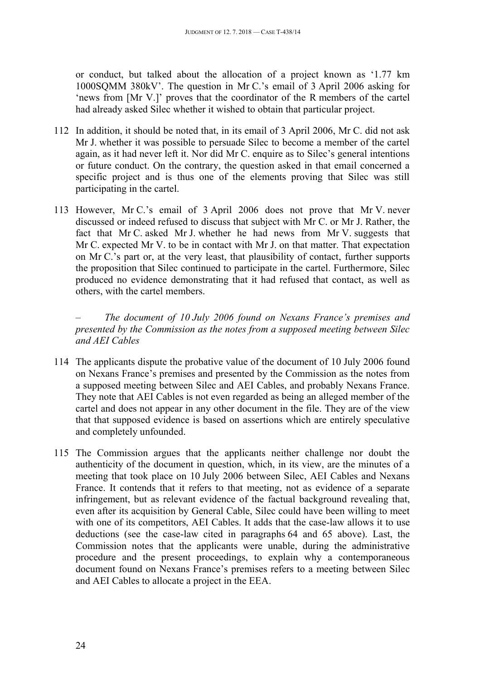or conduct, but talked about the allocation of a project known as '1.77 km 1000SQMM 380kV'. The question in Mr C.'s email of 3 April 2006 asking for 'news from [Mr V.]' proves that the coordinator of the R members of the cartel had already asked Silec whether it wished to obtain that particular project.

- 112 In addition, it should be noted that, in its email of 3 April 2006, Mr C. did not ask Mr J. whether it was possible to persuade Silec to become a member of the cartel again, as it had never left it. Nor did Mr C. enquire as to Silec's general intentions or future conduct. On the contrary, the question asked in that email concerned a specific project and is thus one of the elements proving that Silec was still participating in the cartel.
- 113 However, Mr C.'s email of 3 April 2006 does not prove that Mr V. never discussed or indeed refused to discuss that subject with Mr C. or Mr J. Rather, the fact that Mr C. asked Mr J. whether he had news from Mr V. suggests that Mr C. expected Mr V. to be in contact with Mr J. on that matter. That expectation on Mr C.'s part or, at the very least, that plausibility of contact, further supports the proposition that Silec continued to participate in the cartel. Furthermore, Silec produced no evidence demonstrating that it had refused that contact, as well as others, with the cartel members.

<span id="page-23-0"></span>*– The document of 10 July 2006 found on Nexans France's premises and presented by the Commission as the notes from a supposed meeting between Silec and AEI Cables*

- 114 The applicants dispute the probative value of the document of 10 July 2006 found on Nexans France's premises and presented by the Commission as the notes from a supposed meeting between Silec and AEI Cables, and probably Nexans France. They note that AEI Cables is not even regarded as being an alleged member of the cartel and does not appear in any other document in the file. They are of the view that that supposed evidence is based on assertions which are entirely speculative and completely unfounded.
- 115 The Commission argues that the applicants neither challenge nor doubt the authenticity of the document in question, which, in its view, are the minutes of a meeting that took place on 10 July 2006 between Silec, AEI Cables and Nexans France. It contends that it refers to that meeting, not as evidence of a separate infringement, but as relevant evidence of the factual background revealing that, even after its acquisition by General Cable, Silec could have been willing to meet with one of its competitors, AEI Cables. It adds that the case-law allows it to use deductions (see the case-law cited in paragraphs 64 and 65 above). Last, the Commission notes that the applicants were unable, during the administrative procedure and the present proceedings, to explain why a contemporaneous document found on Nexans France's premises refers to a meeting between Silec and AEI Cables to allocate a project in the EEA.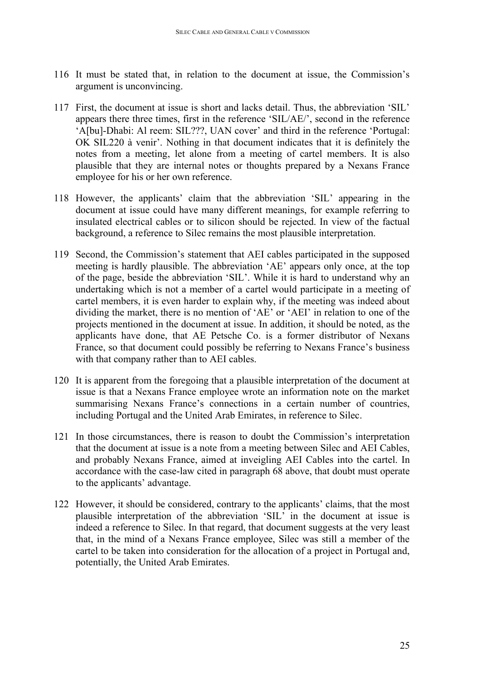- 116 It must be stated that, in relation to the document at issue, the Commission's argument is unconvincing.
- 117 First, the document at issue is short and lacks detail. Thus, the abbreviation 'SIL' appears there three times, first in the reference 'SIL/AE/', second in the reference 'A[bu]-Dhabi: Al reem: SIL???, UAN cover' and third in the reference 'Portugal: OK SIL220 à venir'. Nothing in that document indicates that it is definitely the notes from a meeting, let alone from a meeting of cartel members. It is also plausible that they are internal notes or thoughts prepared by a Nexans France employee for his or her own reference.
- 118 However, the applicants' claim that the abbreviation 'SIL' appearing in the document at issue could have many different meanings, for example referring to insulated electrical cables or to silicon should be rejected. In view of the factual background, a reference to Silec remains the most plausible interpretation.
- 119 Second, the Commission's statement that AEI cables participated in the supposed meeting is hardly plausible. The abbreviation 'AE' appears only once, at the top of the page, beside the abbreviation 'SIL'. While it is hard to understand why an undertaking which is not a member of a cartel would participate in a meeting of cartel members, it is even harder to explain why, if the meeting was indeed about dividing the market, there is no mention of 'AE' or 'AEI' in relation to one of the projects mentioned in the document at issue. In addition, it should be noted, as the applicants have done, that AE Petsche Co. is a former distributor of Nexans France, so that document could possibly be referring to Nexans France's business with that company rather than to AEI cables.
- 120 It is apparent from the foregoing that a plausible interpretation of the document at issue is that a Nexans France employee wrote an information note on the market summarising Nexans France's connections in a certain number of countries, including Portugal and the United Arab Emirates, in reference to Silec.
- 121 In those circumstances, there is reason to doubt the Commission's interpretation that the document at issue is a note from a meeting between Silec and AEI Cables, and probably Nexans France, aimed at inveigling AEI Cables into the cartel. In accordance with the case-law cited in paragraph 68 above, that doubt must operate to the applicants' advantage.
- 122 However, it should be considered, contrary to the applicants' claims, that the most plausible interpretation of the abbreviation 'SIL' in the document at issue is indeed a reference to Silec. In that regard, that document suggests at the very least that, in the mind of a Nexans France employee, Silec was still a member of the cartel to be taken into consideration for the allocation of a project in Portugal and, potentially, the United Arab Emirates.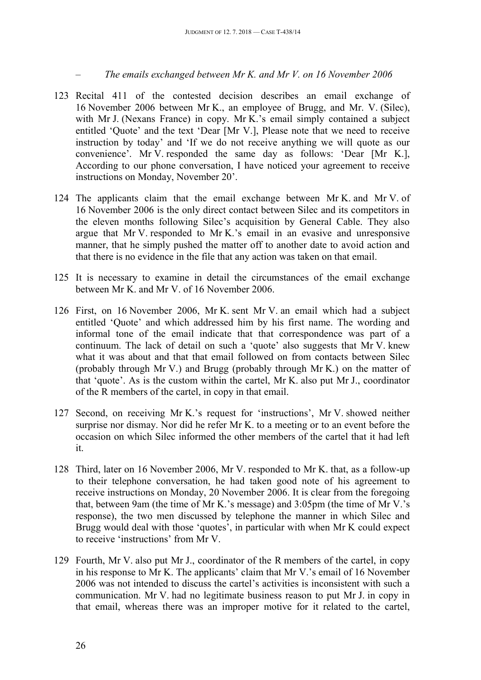<span id="page-25-0"></span>*– The emails exchanged between Mr K. and Mr V. on 16 November 2006*

- 123 Recital 411 of the contested decision describes an email exchange of 16 November 2006 between Mr K., an employee of Brugg, and Mr. V. (Silec), with Mr J. (Nexans France) in copy. Mr K.'s email simply contained a subject entitled 'Quote' and the text 'Dear [Mr V.], Please note that we need to receive instruction by today' and 'If we do not receive anything we will quote as our convenience'. Mr V. responded the same day as follows: 'Dear [Mr K.], According to our phone conversation, I have noticed your agreement to receive instructions on Monday, November 20'.
- 124 The applicants claim that the email exchange between Mr K. and Mr V. of 16 November 2006 is the only direct contact between Silec and its competitors in the eleven months following Silec's acquisition by General Cable. They also argue that Mr V. responded to Mr K.'s email in an evasive and unresponsive manner, that he simply pushed the matter off to another date to avoid action and that there is no evidence in the file that any action was taken on that email.
- 125 It is necessary to examine in detail the circumstances of the email exchange between Mr K. and Mr V. of 16 November 2006.
- 126 First, on 16 November 2006, Mr K. sent Mr V. an email which had a subject entitled 'Quote' and which addressed him by his first name. The wording and informal tone of the email indicate that that correspondence was part of a continuum. The lack of detail on such a 'quote' also suggests that Mr V. knew what it was about and that that email followed on from contacts between Silec (probably through Mr V.) and Brugg (probably through Mr K.) on the matter of that 'quote'. As is the custom within the cartel, Mr K. also put Mr J., coordinator of the R members of the cartel, in copy in that email.
- 127 Second, on receiving Mr K.'s request for 'instructions', Mr V. showed neither surprise nor dismay. Nor did he refer Mr K. to a meeting or to an event before the occasion on which Silec informed the other members of the cartel that it had left it.
- 128 Third, later on 16 November 2006, Mr V. responded to Mr K. that, as a follow-up to their telephone conversation, he had taken good note of his agreement to receive instructions on Monday, 20 November 2006. It is clear from the foregoing that, between 9am (the time of Mr K.'s message) and 3:05pm (the time of Mr V.'s response), the two men discussed by telephone the manner in which Silec and Brugg would deal with those 'quotes', in particular with when Mr K could expect to receive 'instructions' from Mr V.
- 129 Fourth, Mr V. also put Mr J., coordinator of the R members of the cartel, in copy in his response to Mr K. The applicants' claim that Mr V.'s email of 16 November 2006 was not intended to discuss the cartel's activities is inconsistent with such a communication. Mr V. had no legitimate business reason to put Mr J. in copy in that email, whereas there was an improper motive for it related to the cartel,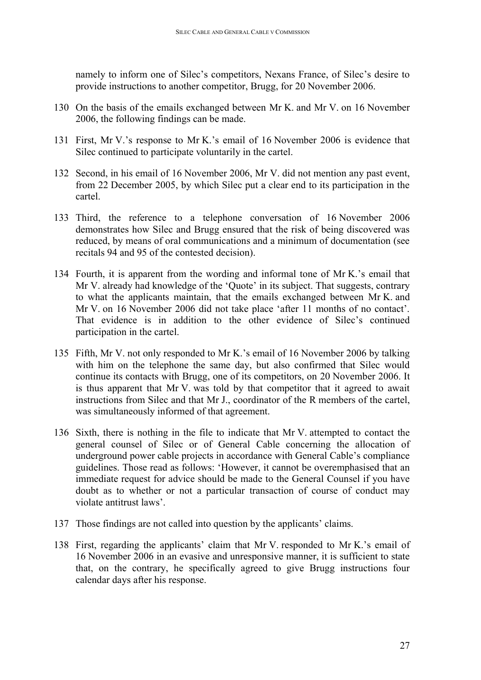namely to inform one of Silec's competitors, Nexans France, of Silec's desire to provide instructions to another competitor, Brugg, for 20 November 2006.

- 130 On the basis of the emails exchanged between Mr K. and Mr V. on 16 November 2006, the following findings can be made.
- 131 First, Mr V.'s response to Mr K.'s email of 16 November 2006 is evidence that Silec continued to participate voluntarily in the cartel.
- 132 Second, in his email of 16 November 2006, Mr V. did not mention any past event, from 22 December 2005, by which Silec put a clear end to its participation in the cartel.
- 133 Third, the reference to a telephone conversation of 16 November 2006 demonstrates how Silec and Brugg ensured that the risk of being discovered was reduced, by means of oral communications and a minimum of documentation (see recitals 94 and 95 of the contested decision).
- 134 Fourth, it is apparent from the wording and informal tone of Mr K.'s email that Mr V. already had knowledge of the 'Quote' in its subject. That suggests, contrary to what the applicants maintain, that the emails exchanged between Mr K. and Mr V. on 16 November 2006 did not take place 'after 11 months of no contact'. That evidence is in addition to the other evidence of Silec's continued participation in the cartel.
- 135 Fifth, Mr V. not only responded to Mr K.'s email of 16 November 2006 by talking with him on the telephone the same day, but also confirmed that Silec would continue its contacts with Brugg, one of its competitors, on 20 November 2006. It is thus apparent that Mr V. was told by that competitor that it agreed to await instructions from Silec and that Mr J., coordinator of the R members of the cartel, was simultaneously informed of that agreement.
- 136 Sixth, there is nothing in the file to indicate that Mr V. attempted to contact the general counsel of Silec or of General Cable concerning the allocation of underground power cable projects in accordance with General Cable's compliance guidelines. Those read as follows: 'However, it cannot be overemphasised that an immediate request for advice should be made to the General Counsel if you have doubt as to whether or not a particular transaction of course of conduct may violate antitrust laws'.
- 137 Those findings are not called into question by the applicants' claims.
- 138 First, regarding the applicants' claim that Mr V. responded to Mr K.'s email of 16 November 2006 in an evasive and unresponsive manner, it is sufficient to state that, on the contrary, he specifically agreed to give Brugg instructions four calendar days after his response.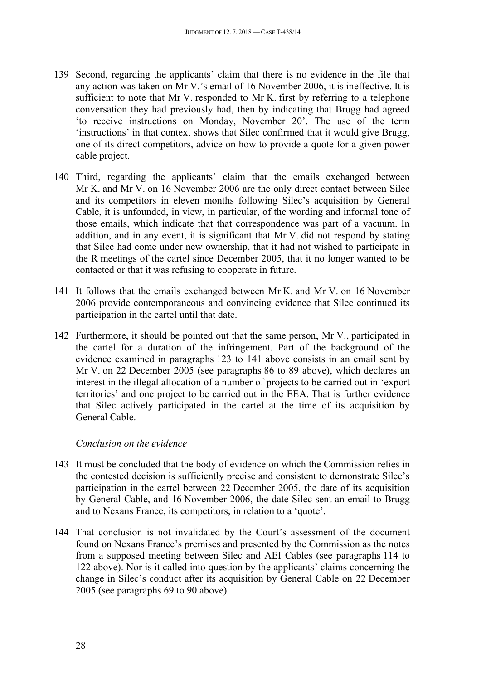- 139 Second, regarding the applicants' claim that there is no evidence in the file that any action was taken on Mr V.'s email of 16 November 2006, it is ineffective. It is sufficient to note that Mr V. responded to Mr K. first by referring to a telephone conversation they had previously had, then by indicating that Brugg had agreed 'to receive instructions on Monday, November 20'. The use of the term 'instructions' in that context shows that Silec confirmed that it would give Brugg, one of its direct competitors, advice on how to provide a quote for a given power cable project.
- 140 Third, regarding the applicants' claim that the emails exchanged between Mr K. and Mr V. on 16 November 2006 are the only direct contact between Silec and its competitors in eleven months following Silec's acquisition by General Cable, it is unfounded, in view, in particular, of the wording and informal tone of those emails, which indicate that that correspondence was part of a vacuum. In addition, and in any event, it is significant that Mr V. did not respond by stating that Silec had come under new ownership, that it had not wished to participate in the R meetings of the cartel since December 2005, that it no longer wanted to be contacted or that it was refusing to cooperate in future.
- 141 It follows that the emails exchanged between Mr K. and Mr V. on 16 November 2006 provide contemporaneous and convincing evidence that Silec continued its participation in the cartel until that date.
- 142 Furthermore, it should be pointed out that the same person, Mr V., participated in the cartel for a duration of the infringement. Part of the background of the evidence examined in paragraphs 123 to 141 above consists in an email sent by Mr V. on 22 December 2005 (see paragraphs 86 to 89 above), which declares an interest in the illegal allocation of a number of projects to be carried out in 'export territories' and one project to be carried out in the EEA. That is further evidence that Silec actively participated in the cartel at the time of its acquisition by General Cable.

#### <span id="page-27-0"></span>*Conclusion on the evidence*

- 143 It must be concluded that the body of evidence on which the Commission relies in the contested decision is sufficiently precise and consistent to demonstrate Silec's participation in the cartel between 22 December 2005, the date of its acquisition by General Cable, and 16 November 2006, the date Silec sent an email to Brugg and to Nexans France, its competitors, in relation to a 'quote'.
- 144 That conclusion is not invalidated by the Court's assessment of the document found on Nexans France's premises and presented by the Commission as the notes from a supposed meeting between Silec and AEI Cables (see paragraphs 114 to 122 above). Nor is it called into question by the applicants' claims concerning the change in Silec's conduct after its acquisition by General Cable on 22 December 2005 (see paragraphs 69 to 90 above).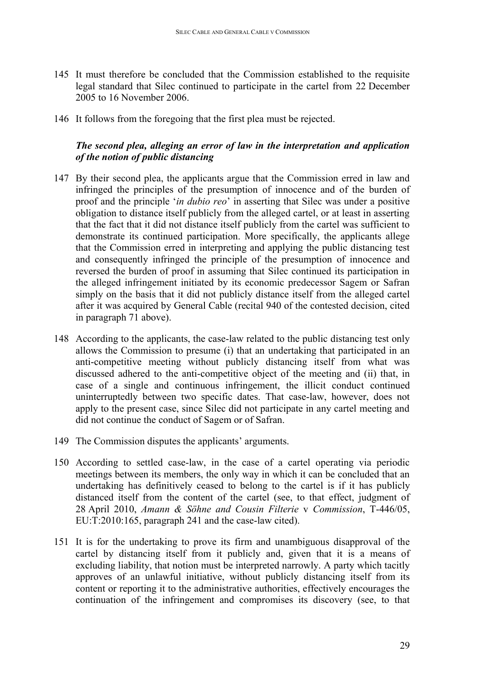- 145 It must therefore be concluded that the Commission established to the requisite legal standard that Silec continued to participate in the cartel from 22 December 2005 to 16 November 2006.
- 146 It follows from the foregoing that the first plea must be rejected.

### <span id="page-28-0"></span>*The second plea, alleging an error of law in the interpretation and application of the notion of public distancing*

- 147 By their second plea, the applicants argue that the Commission erred in law and infringed the principles of the presumption of innocence and of the burden of proof and the principle '*in dubio reo*' in asserting that Silec was under a positive obligation to distance itself publicly from the alleged cartel, or at least in asserting that the fact that it did not distance itself publicly from the cartel was sufficient to demonstrate its continued participation. More specifically, the applicants allege that the Commission erred in interpreting and applying the public distancing test and consequently infringed the principle of the presumption of innocence and reversed the burden of proof in assuming that Silec continued its participation in the alleged infringement initiated by its economic predecessor Sagem or Safran simply on the basis that it did not publicly distance itself from the alleged cartel after it was acquired by General Cable (recital 940 of the contested decision, cited in paragraph 71 above).
- 148 According to the applicants, the case-law related to the public distancing test only allows the Commission to presume (i) that an undertaking that participated in an anti-competitive meeting without publicly distancing itself from what was discussed adhered to the anti-competitive object of the meeting and (ii) that, in case of a single and continuous infringement, the illicit conduct continued uninterruptedly between two specific dates. That case-law, however, does not apply to the present case, since Silec did not participate in any cartel meeting and did not continue the conduct of Sagem or of Safran.
- 149 The Commission disputes the applicants' arguments.
- 150 According to settled case-law, in the case of a cartel operating via periodic meetings between its members, the only way in which it can be concluded that an undertaking has definitively ceased to belong to the cartel is if it has publicly distanced itself from the content of the cartel (see, to that effect, judgment of 28 April 2010, *Amann & Söhne and Cousin Filterie* v *Commission*, T-446/05, EU:T:2010:165, paragraph 241 and the case-law cited).
- 151 It is for the undertaking to prove its firm and unambiguous disapproval of the cartel by distancing itself from it publicly and, given that it is a means of excluding liability, that notion must be interpreted narrowly. A party which tacitly approves of an unlawful initiative, without publicly distancing itself from its content or reporting it to the administrative authorities, effectively encourages the continuation of the infringement and compromises its discovery (see, to that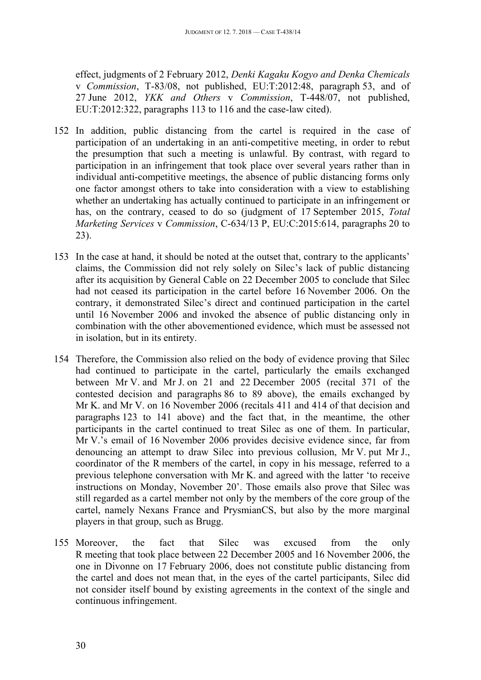effect, judgments of 2 February 2012, *Denki Kagaku Kogyo and Denka Chemicals* v *Commission*, T-83/08, not published, EU:T:2012:48, paragraph 53, and of 27 June 2012, *YKK and Others* v *Commission*, T-448/07, not published, EU:T:2012:322, paragraphs 113 to 116 and the case-law cited).

- 152 In addition, public distancing from the cartel is required in the case of participation of an undertaking in an anti-competitive meeting, in order to rebut the presumption that such a meeting is unlawful. By contrast, with regard to participation in an infringement that took place over several years rather than in individual anti-competitive meetings, the absence of public distancing forms only one factor amongst others to take into consideration with a view to establishing whether an undertaking has actually continued to participate in an infringement or has, on the contrary, ceased to do so (judgment of 17 September 2015, *Total Marketing Services* v *Commission*, C-634/13 P, EU:C:2015:614, paragraphs 20 to 23).
- 153 In the case at hand, it should be noted at the outset that, contrary to the applicants' claims, the Commission did not rely solely on Silec's lack of public distancing after its acquisition by General Cable on 22 December 2005 to conclude that Silec had not ceased its participation in the cartel before 16 November 2006. On the contrary, it demonstrated Silec's direct and continued participation in the cartel until 16 November 2006 and invoked the absence of public distancing only in combination with the other abovementioned evidence, which must be assessed not in isolation, but in its entirety.
- 154 Therefore, the Commission also relied on the body of evidence proving that Silec had continued to participate in the cartel, particularly the emails exchanged between Mr V. and Mr J. on 21 and 22 December 2005 (recital 371 of the contested decision and paragraphs 86 to 89 above), the emails exchanged by Mr K. and Mr V. on 16 November 2006 (recitals 411 and 414 of that decision and paragraphs 123 to 141 above) and the fact that, in the meantime, the other participants in the cartel continued to treat Silec as one of them. In particular, Mr V.'s email of 16 November 2006 provides decisive evidence since, far from denouncing an attempt to draw Silec into previous collusion, Mr V. put Mr J., coordinator of the R members of the cartel, in copy in his message, referred to a previous telephone conversation with Mr K. and agreed with the latter 'to receive instructions on Monday, November 20'. Those emails also prove that Silec was still regarded as a cartel member not only by the members of the core group of the cartel, namely Nexans France and PrysmianCS, but also by the more marginal players in that group, such as Brugg.
- 155 Moreover, the fact that Silec was excused from the only R meeting that took place between 22 December 2005 and 16 November 2006, the one in Divonne on 17 February 2006, does not constitute public distancing from the cartel and does not mean that, in the eyes of the cartel participants, Silec did not consider itself bound by existing agreements in the context of the single and continuous infringement.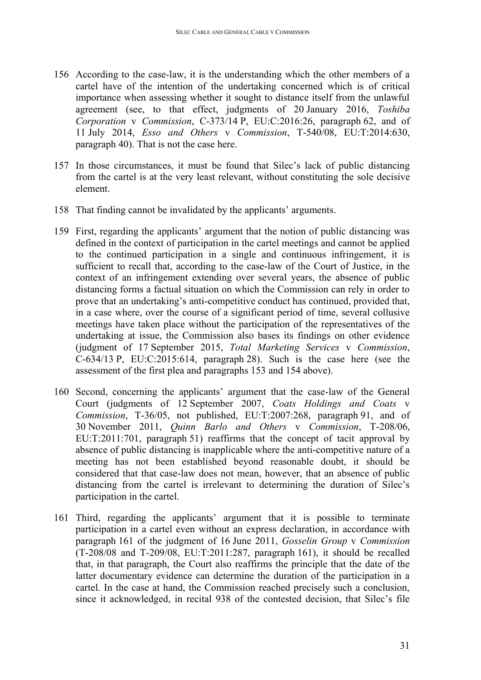- 156 According to the case-law, it is the understanding which the other members of a cartel have of the intention of the undertaking concerned which is of critical importance when assessing whether it sought to distance itself from the unlawful agreement (see, to that effect, judgments of 20 January 2016, *Toshiba Corporation* v *Commission*, C-373/14 P, EU:C:2016:26, paragraph 62, and of 11 July 2014, *Esso and Others* v *Commission*, T-540/08, EU:T:2014:630, paragraph 40). That is not the case here.
- 157 In those circumstances, it must be found that Silec's lack of public distancing from the cartel is at the very least relevant, without constituting the sole decisive element.
- 158 That finding cannot be invalidated by the applicants' arguments.
- 159 First, regarding the applicants' argument that the notion of public distancing was defined in the context of participation in the cartel meetings and cannot be applied to the continued participation in a single and continuous infringement, it is sufficient to recall that, according to the case-law of the Court of Justice, in the context of an infringement extending over several years, the absence of public distancing forms a factual situation on which the Commission can rely in order to prove that an undertaking's anti-competitive conduct has continued, provided that, in a case where, over the course of a significant period of time, several collusive meetings have taken place without the participation of the representatives of the undertaking at issue, the Commission also bases its findings on other evidence (judgment of 17 September 2015, *Total Marketing Services* v *Commission*, C-634/13 P, EU:C:2015:614, paragraph 28). Such is the case here (see the assessment of the first plea and paragraphs 153 and 154 above).
- 160 Second, concerning the applicants' argument that the case-law of the General Court (judgments of 12 September 2007, *Coats Holdings and Coats* v *Commission*, T-36/05, not published, EU:T:2007:268, paragraph 91, and of 30 November 2011, *Quinn Barlo and Others* v *Commission*, T-208/06, EU:T:2011:701, paragraph 51) reaffirms that the concept of tacit approval by absence of public distancing is inapplicable where the anti-competitive nature of a meeting has not been established beyond reasonable doubt, it should be considered that that case-law does not mean, however, that an absence of public distancing from the cartel is irrelevant to determining the duration of Silec's participation in the cartel.
- 161 Third, regarding the applicants' argument that it is possible to terminate participation in a cartel even without an express declaration, in accordance with paragraph 161 of the judgment of 16 June 2011, *Gosselin Group* v *Commission* (T-208/08 and T-209/08, EU:T:2011:287, paragraph 161), it should be recalled that, in that paragraph, the Court also reaffirms the principle that the date of the latter documentary evidence can determine the duration of the participation in a cartel. In the case at hand, the Commission reached precisely such a conclusion, since it acknowledged, in recital 938 of the contested decision, that Silec's file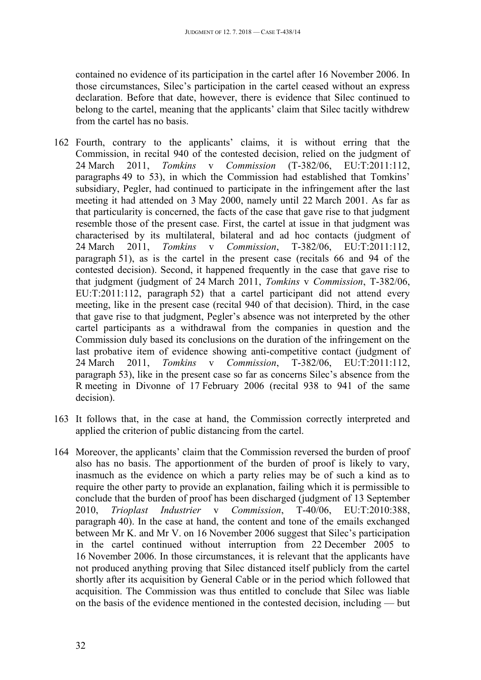contained no evidence of its participation in the cartel after 16 November 2006. In those circumstances, Silec's participation in the cartel ceased without an express declaration. Before that date, however, there is evidence that Silec continued to belong to the cartel, meaning that the applicants' claim that Silec tacitly withdrew from the cartel has no basis.

- 162 Fourth, contrary to the applicants' claims, it is without erring that the Commission, in recital 940 of the contested decision, relied on the judgment of 24 March 2011, *Tomkins* v *Commission* (T-382/06, EU:T:2011:112, paragraphs 49 to 53), in which the Commission had established that Tomkins' subsidiary, Pegler, had continued to participate in the infringement after the last meeting it had attended on 3 May 2000, namely until 22 March 2001. As far as that particularity is concerned, the facts of the case that gave rise to that judgment resemble those of the present case. First, the cartel at issue in that judgment was characterised by its multilateral, bilateral and ad hoc contacts (judgment of 24 March 2011, *Tomkins* v *Commission*, T-382/06, EU:T:2011:112, paragraph 51), as is the cartel in the present case (recitals 66 and 94 of the contested decision). Second, it happened frequently in the case that gave rise to that judgment (judgment of 24 March 2011, *Tomkins* v *Commission*, T-382/06, EU:T:2011:112, paragraph 52) that a cartel participant did not attend every meeting, like in the present case (recital 940 of that decision). Third, in the case that gave rise to that judgment, Pegler's absence was not interpreted by the other cartel participants as a withdrawal from the companies in question and the Commission duly based its conclusions on the duration of the infringement on the last probative item of evidence showing anti-competitive contact (judgment of 24 March 2011, *Tomkins* v *Commission*, T-382/06, EU:T:2011:112, paragraph 53), like in the present case so far as concerns Silec's absence from the R meeting in Divonne of 17 February 2006 (recital 938 to 941 of the same decision).
- 163 It follows that, in the case at hand, the Commission correctly interpreted and applied the criterion of public distancing from the cartel.
- 164 Moreover, the applicants' claim that the Commission reversed the burden of proof also has no basis. The apportionment of the burden of proof is likely to vary, inasmuch as the evidence on which a party relies may be of such a kind as to require the other party to provide an explanation, failing which it is permissible to conclude that the burden of proof has been discharged (judgment of 13 September 2010, *Trioplast Industrier* v *Commission*, T-40/06, EU:T:2010:388, paragraph 40). In the case at hand, the content and tone of the emails exchanged between Mr K. and Mr V. on 16 November 2006 suggest that Silec's participation in the cartel continued without interruption from 22 December 2005 to 16 November 2006. In those circumstances, it is relevant that the applicants have not produced anything proving that Silec distanced itself publicly from the cartel shortly after its acquisition by General Cable or in the period which followed that acquisition. The Commission was thus entitled to conclude that Silec was liable on the basis of the evidence mentioned in the contested decision, including — but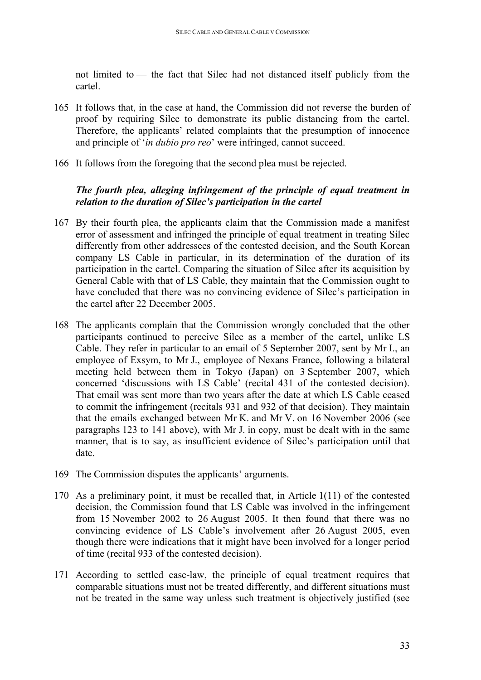not limited to — the fact that Silec had not distanced itself publicly from the cartel.

- 165 It follows that, in the case at hand, the Commission did not reverse the burden of proof by requiring Silec to demonstrate its public distancing from the cartel. Therefore, the applicants' related complaints that the presumption of innocence and principle of '*in dubio pro reo*' were infringed, cannot succeed.
- 166 It follows from the foregoing that the second plea must be rejected.

### <span id="page-32-0"></span>*The fourth plea, alleging infringement of the principle of equal treatment in relation to the duration of Silec's participation in the cartel*

- 167 By their fourth plea, the applicants claim that the Commission made a manifest error of assessment and infringed the principle of equal treatment in treating Silec differently from other addressees of the contested decision, and the South Korean company LS Cable in particular, in its determination of the duration of its participation in the cartel. Comparing the situation of Silec after its acquisition by General Cable with that of LS Cable, they maintain that the Commission ought to have concluded that there was no convincing evidence of Silec's participation in the cartel after 22 December 2005.
- 168 The applicants complain that the Commission wrongly concluded that the other participants continued to perceive Silec as a member of the cartel, unlike LS Cable. They refer in particular to an email of 5 September 2007, sent by Mr I., an employee of Exsym, to Mr J., employee of Nexans France, following a bilateral meeting held between them in Tokyo (Japan) on 3 September 2007, which concerned 'discussions with LS Cable' (recital 431 of the contested decision). That email was sent more than two years after the date at which LS Cable ceased to commit the infringement (recitals 931 and 932 of that decision). They maintain that the emails exchanged between Mr K. and Mr V. on 16 November 2006 (see paragraphs 123 to 141 above), with Mr J. in copy, must be dealt with in the same manner, that is to say, as insufficient evidence of Silec's participation until that date.
- 169 The Commission disputes the applicants' arguments.
- 170 As a preliminary point, it must be recalled that, in Article 1(11) of the contested decision, the Commission found that LS Cable was involved in the infringement from 15 November 2002 to 26 August 2005. It then found that there was no convincing evidence of LS Cable's involvement after 26 August 2005, even though there were indications that it might have been involved for a longer period of time (recital 933 of the contested decision).
- 171 According to settled case-law, the principle of equal treatment requires that comparable situations must not be treated differently, and different situations must not be treated in the same way unless such treatment is objectively justified (see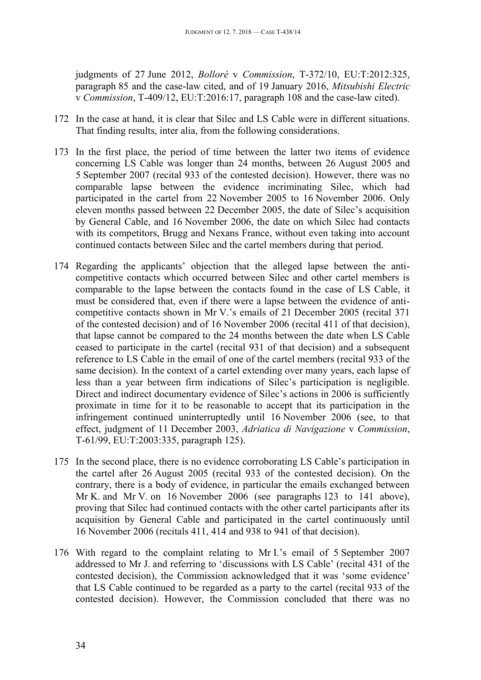judgments of 27 June 2012, *Bolloré* v *Commission*, T-372/10, EU:T:2012:325, paragraph 85 and the case-law cited, and of 19 January 2016, *Mitsubishi Electric* v *Commission*, T-409/12, EU:T:2016:17, paragraph 108 and the case-law cited).

- 172 In the case at hand, it is clear that Silec and LS Cable were in different situations. That finding results, inter alia, from the following considerations.
- 173 In the first place, the period of time between the latter two items of evidence concerning LS Cable was longer than 24 months, between 26 August 2005 and 5 September 2007 (recital 933 of the contested decision). However, there was no comparable lapse between the evidence incriminating Silec, which had participated in the cartel from 22 November 2005 to 16 November 2006. Only eleven months passed between 22 December 2005, the date of Silec's acquisition by General Cable, and 16 November 2006, the date on which Silec had contacts with its competitors, Brugg and Nexans France, without even taking into account continued contacts between Silec and the cartel members during that period.
- 174 Regarding the applicants' objection that the alleged lapse between the anticompetitive contacts which occurred between Silec and other cartel members is comparable to the lapse between the contacts found in the case of LS Cable, it must be considered that, even if there were a lapse between the evidence of anticompetitive contacts shown in Mr V.'s emails of 21 December 2005 (recital 371 of the contested decision) and of 16 November 2006 (recital 411 of that decision), that lapse cannot be compared to the 24 months between the date when LS Cable ceased to participate in the cartel (recital 931 of that decision) and a subsequent reference to LS Cable in the email of one of the cartel members (recital 933 of the same decision). In the context of a cartel extending over many years, each lapse of less than a year between firm indications of Silec's participation is negligible. Direct and indirect documentary evidence of Silec's actions in 2006 is sufficiently proximate in time for it to be reasonable to accept that its participation in the infringement continued uninterruptedly until 16 November 2006 (see, to that effect, judgment of 11 December 2003, *Adriatica di Navigazione* v *Commission*, T-61/99, EU:T:2003:335, paragraph 125).
- 175 In the second place, there is no evidence corroborating LS Cable's participation in the cartel after 26 August 2005 (recital 933 of the contested decision). On the contrary, there is a body of evidence, in particular the emails exchanged between Mr K. and Mr V. on 16 November 2006 (see paragraphs 123 to 141 above), proving that Silec had continued contacts with the other cartel participants after its acquisition by General Cable and participated in the cartel continuously until 16 November 2006 (recitals 411, 414 and 938 to 941 of that decision).
- 176 With regard to the complaint relating to Mr I.'s email of 5 September 2007 addressed to Mr J. and referring to 'discussions with LS Cable' (recital 431 of the contested decision), the Commission acknowledged that it was 'some evidence' that LS Cable continued to be regarded as a party to the cartel (recital 933 of the contested decision). However, the Commission concluded that there was no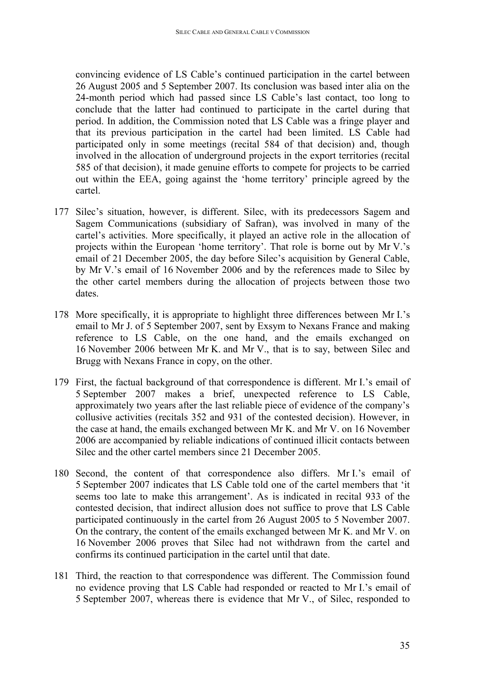convincing evidence of LS Cable's continued participation in the cartel between 26 August 2005 and 5 September 2007. Its conclusion was based inter alia on the 24-month period which had passed since LS Cable's last contact, too long to conclude that the latter had continued to participate in the cartel during that period. In addition, the Commission noted that LS Cable was a fringe player and that its previous participation in the cartel had been limited. LS Cable had participated only in some meetings (recital 584 of that decision) and, though involved in the allocation of underground projects in the export territories (recital 585 of that decision), it made genuine efforts to compete for projects to be carried out within the EEA, going against the 'home territory' principle agreed by the cartel.

- 177 Silec's situation, however, is different. Silec, with its predecessors Sagem and Sagem Communications (subsidiary of Safran), was involved in many of the cartel's activities. More specifically, it played an active role in the allocation of projects within the European 'home territory'. That role is borne out by Mr V.'s email of 21 December 2005, the day before Silec's acquisition by General Cable, by Mr V.'s email of 16 November 2006 and by the references made to Silec by the other cartel members during the allocation of projects between those two dates.
- 178 More specifically, it is appropriate to highlight three differences between Mr I.'s email to Mr J. of 5 September 2007, sent by Exsym to Nexans France and making reference to LS Cable, on the one hand, and the emails exchanged on 16 November 2006 between Mr K. and Mr V., that is to say, between Silec and Brugg with Nexans France in copy, on the other.
- 179 First, the factual background of that correspondence is different. Mr I.'s email of 5 September 2007 makes a brief, unexpected reference to LS Cable, approximately two years after the last reliable piece of evidence of the company's collusive activities (recitals 352 and 931 of the contested decision). However, in the case at hand, the emails exchanged between Mr K. and Mr V. on 16 November 2006 are accompanied by reliable indications of continued illicit contacts between Silec and the other cartel members since 21 December 2005.
- 180 Second, the content of that correspondence also differs. Mr I.'s email of 5 September 2007 indicates that LS Cable told one of the cartel members that 'it seems too late to make this arrangement'. As is indicated in recital 933 of the contested decision, that indirect allusion does not suffice to prove that LS Cable participated continuously in the cartel from 26 August 2005 to 5 November 2007. On the contrary, the content of the emails exchanged between Mr K. and Mr V. on 16 November 2006 proves that Silec had not withdrawn from the cartel and confirms its continued participation in the cartel until that date.
- 181 Third, the reaction to that correspondence was different. The Commission found no evidence proving that LS Cable had responded or reacted to Mr I.'s email of 5 September 2007, whereas there is evidence that Mr V., of Silec, responded to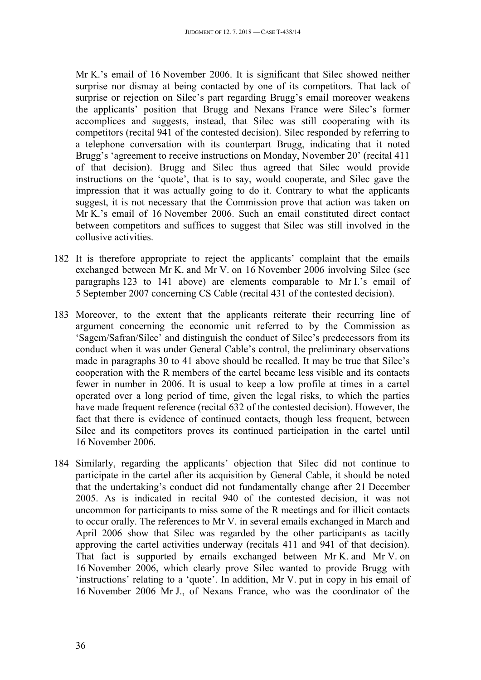Mr K.'s email of 16 November 2006. It is significant that Silec showed neither surprise nor dismay at being contacted by one of its competitors. That lack of surprise or rejection on Silec's part regarding Brugg's email moreover weakens the applicants' position that Brugg and Nexans France were Silec's former accomplices and suggests, instead, that Silec was still cooperating with its competitors (recital 941 of the contested decision). Silec responded by referring to a telephone conversation with its counterpart Brugg, indicating that it noted Brugg's 'agreement to receive instructions on Monday, November 20' (recital 411 of that decision). Brugg and Silec thus agreed that Silec would provide instructions on the 'quote', that is to say, would cooperate, and Silec gave the impression that it was actually going to do it. Contrary to what the applicants suggest, it is not necessary that the Commission prove that action was taken on Mr K.'s email of 16 November 2006. Such an email constituted direct contact between competitors and suffices to suggest that Silec was still involved in the collusive activities.

- 182 It is therefore appropriate to reject the applicants' complaint that the emails exchanged between Mr K. and Mr V. on 16 November 2006 involving Silec (see paragraphs 123 to 141 above) are elements comparable to Mr I.'s email of 5 September 2007 concerning CS Cable (recital 431 of the contested decision).
- 183 Moreover, to the extent that the applicants reiterate their recurring line of argument concerning the economic unit referred to by the Commission as 'Sagem/Safran/Silec' and distinguish the conduct of Silec's predecessors from its conduct when it was under General Cable's control, the preliminary observations made in paragraphs 30 to 41 above should be recalled. It may be true that Silec's cooperation with the R members of the cartel became less visible and its contacts fewer in number in 2006. It is usual to keep a low profile at times in a cartel operated over a long period of time, given the legal risks, to which the parties have made frequent reference (recital 632 of the contested decision). However, the fact that there is evidence of continued contacts, though less frequent, between Silec and its competitors proves its continued participation in the cartel until 16 November 2006.
- 184 Similarly, regarding the applicants' objection that Silec did not continue to participate in the cartel after its acquisition by General Cable, it should be noted that the undertaking's conduct did not fundamentally change after 21 December 2005. As is indicated in recital 940 of the contested decision, it was not uncommon for participants to miss some of the R meetings and for illicit contacts to occur orally. The references to Mr V. in several emails exchanged in March and April 2006 show that Silec was regarded by the other participants as tacitly approving the cartel activities underway (recitals 411 and 941 of that decision). That fact is supported by emails exchanged between Mr K. and Mr V. on 16 November 2006, which clearly prove Silec wanted to provide Brugg with 'instructions' relating to a 'quote'. In addition, Mr V. put in copy in his email of 16 November 2006 Mr J., of Nexans France, who was the coordinator of the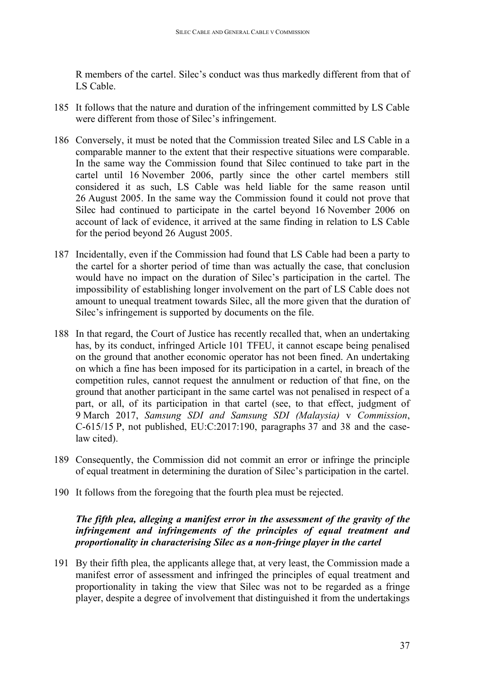R members of the cartel. Silec's conduct was thus markedly different from that of LS Cable.

- 185 It follows that the nature and duration of the infringement committed by LS Cable were different from those of Silec's infringement.
- 186 Conversely, it must be noted that the Commission treated Silec and LS Cable in a comparable manner to the extent that their respective situations were comparable. In the same way the Commission found that Silec continued to take part in the cartel until 16 November 2006, partly since the other cartel members still considered it as such, LS Cable was held liable for the same reason until 26 August 2005. In the same way the Commission found it could not prove that Silec had continued to participate in the cartel beyond 16 November 2006 on account of lack of evidence, it arrived at the same finding in relation to LS Cable for the period beyond 26 August 2005.
- 187 Incidentally, even if the Commission had found that LS Cable had been a party to the cartel for a shorter period of time than was actually the case, that conclusion would have no impact on the duration of Silec's participation in the cartel. The impossibility of establishing longer involvement on the part of LS Cable does not amount to unequal treatment towards Silec, all the more given that the duration of Silec's infringement is supported by documents on the file.
- 188 In that regard, the Court of Justice has recently recalled that, when an undertaking has, by its conduct, infringed Article 101 TFEU, it cannot escape being penalised on the ground that another economic operator has not been fined. An undertaking on which a fine has been imposed for its participation in a cartel, in breach of the competition rules, cannot request the annulment or reduction of that fine, on the ground that another participant in the same cartel was not penalised in respect of a part, or all, of its participation in that cartel (see, to that effect, judgment of 9 March 2017, *Samsung SDI and Samsung SDI (Malaysia)* v *Commission*, C-615/15 P, not published, EU:C:2017:190, paragraphs 37 and 38 and the caselaw cited).
- 189 Consequently, the Commission did not commit an error or infringe the principle of equal treatment in determining the duration of Silec's participation in the cartel.
- 190 It follows from the foregoing that the fourth plea must be rejected.

### <span id="page-36-0"></span>*The fifth plea, alleging a manifest error in the assessment of the gravity of the infringement and infringements of the principles of equal treatment and proportionality in characterising Silec as a non-fringe player in the cartel*

191 By their fifth plea, the applicants allege that, at very least, the Commission made a manifest error of assessment and infringed the principles of equal treatment and proportionality in taking the view that Silec was not to be regarded as a fringe player, despite a degree of involvement that distinguished it from the undertakings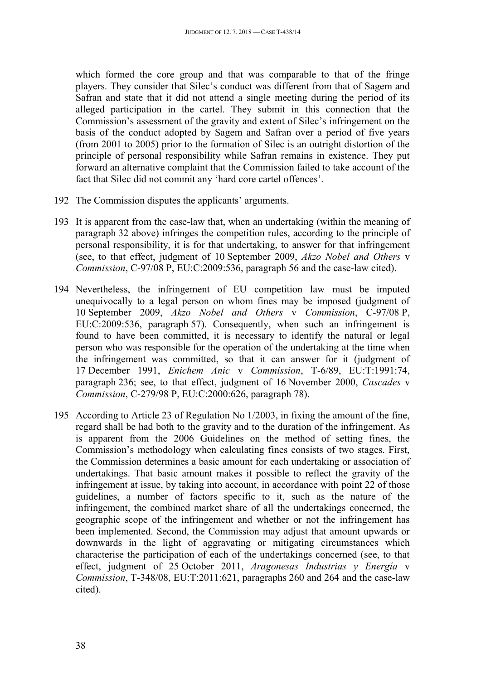which formed the core group and that was comparable to that of the fringe players. They consider that Silec's conduct was different from that of Sagem and Safran and state that it did not attend a single meeting during the period of its alleged participation in the cartel. They submit in this connection that the Commission's assessment of the gravity and extent of Silec's infringement on the basis of the conduct adopted by Sagem and Safran over a period of five years (from 2001 to 2005) prior to the formation of Silec is an outright distortion of the principle of personal responsibility while Safran remains in existence. They put forward an alternative complaint that the Commission failed to take account of the fact that Silec did not commit any 'hard core cartel offences'.

- 192 The Commission disputes the applicants' arguments.
- 193 It is apparent from the case-law that, when an undertaking (within the meaning of paragraph 32 above) infringes the competition rules, according to the principle of personal responsibility, it is for that undertaking, to answer for that infringement (see, to that effect, judgment of 10 September 2009, *Akzo Nobel and Others* v *Commission*, C-97/08 P, EU:C:2009:536, paragraph 56 and the case-law cited).
- 194 Nevertheless, the infringement of EU competition law must be imputed unequivocally to a legal person on whom fines may be imposed (judgment of 10 September 2009, *Akzo Nobel and Others* v *Commission*, C-97/08 P, EU:C:2009:536, paragraph 57). Consequently, when such an infringement is found to have been committed, it is necessary to identify the natural or legal person who was responsible for the operation of the undertaking at the time when the infringement was committed, so that it can answer for it (judgment of 17 December 1991, *Enichem Anic* v *Commission*, T-6/89, EU:T:1991:74, paragraph 236; see, to that effect, judgment of 16 November 2000, *Cascades* v *Commission*, C-279/98 P, EU:C:2000:626, paragraph 78).
- 195 According to Article 23 of Regulation No 1/2003, in fixing the amount of the fine, regard shall be had both to the gravity and to the duration of the infringement. As is apparent from the 2006 Guidelines on the method of setting fines, the Commission's methodology when calculating fines consists of two stages. First, the Commission determines a basic amount for each undertaking or association of undertakings. That basic amount makes it possible to reflect the gravity of the infringement at issue, by taking into account, in accordance with point 22 of those guidelines, a number of factors specific to it, such as the nature of the infringement, the combined market share of all the undertakings concerned, the geographic scope of the infringement and whether or not the infringement has been implemented. Second, the Commission may adjust that amount upwards or downwards in the light of aggravating or mitigating circumstances which characterise the participation of each of the undertakings concerned (see, to that effect, judgment of 25 October 2011, *Aragonesas Industrias y Energía* v *Commission*, T-348/08, EU:T:2011:621, paragraphs 260 and 264 and the case-law cited).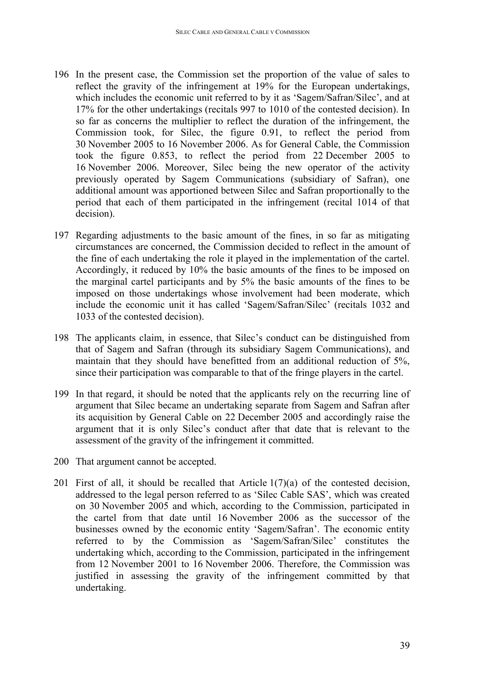- 196 In the present case, the Commission set the proportion of the value of sales to reflect the gravity of the infringement at 19% for the European undertakings, which includes the economic unit referred to by it as 'Sagem/Safran/Silec', and at 17% for the other undertakings (recitals 997 to 1010 of the contested decision). In so far as concerns the multiplier to reflect the duration of the infringement, the Commission took, for Silec, the figure 0.91, to reflect the period from 30 November 2005 to 16 November 2006. As for General Cable, the Commission took the figure 0.853, to reflect the period from 22 December 2005 to 16 November 2006. Moreover, Silec being the new operator of the activity previously operated by Sagem Communications (subsidiary of Safran), one additional amount was apportioned between Silec and Safran proportionally to the period that each of them participated in the infringement (recital 1014 of that decision).
- 197 Regarding adjustments to the basic amount of the fines, in so far as mitigating circumstances are concerned, the Commission decided to reflect in the amount of the fine of each undertaking the role it played in the implementation of the cartel. Accordingly, it reduced by 10% the basic amounts of the fines to be imposed on the marginal cartel participants and by 5% the basic amounts of the fines to be imposed on those undertakings whose involvement had been moderate, which include the economic unit it has called 'Sagem/Safran/Silec' (recitals 1032 and 1033 of the contested decision).
- 198 The applicants claim, in essence, that Silec's conduct can be distinguished from that of Sagem and Safran (through its subsidiary Sagem Communications), and maintain that they should have benefitted from an additional reduction of 5%, since their participation was comparable to that of the fringe players in the cartel.
- 199 In that regard, it should be noted that the applicants rely on the recurring line of argument that Silec became an undertaking separate from Sagem and Safran after its acquisition by General Cable on 22 December 2005 and accordingly raise the argument that it is only Silec's conduct after that date that is relevant to the assessment of the gravity of the infringement it committed.
- 200 That argument cannot be accepted.
- 201 First of all, it should be recalled that Article  $1(7)(a)$  of the contested decision, addressed to the legal person referred to as 'Silec Cable SAS', which was created on 30 November 2005 and which, according to the Commission, participated in the cartel from that date until 16 November 2006 as the successor of the businesses owned by the economic entity 'Sagem/Safran'. The economic entity referred to by the Commission as 'Sagem/Safran/Silec' constitutes the undertaking which, according to the Commission, participated in the infringement from 12 November 2001 to 16 November 2006. Therefore, the Commission was justified in assessing the gravity of the infringement committed by that undertaking.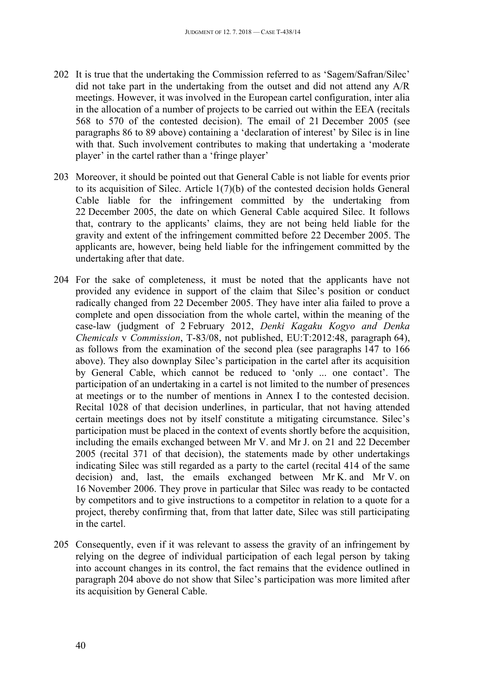- 202 It is true that the undertaking the Commission referred to as 'Sagem/Safran/Silec' did not take part in the undertaking from the outset and did not attend any A/R meetings. However, it was involved in the European cartel configuration, inter alia in the allocation of a number of projects to be carried out within the EEA (recitals 568 to 570 of the contested decision). The email of 21 December 2005 (see paragraphs 86 to 89 above) containing a 'declaration of interest' by Silec is in line with that. Such involvement contributes to making that undertaking a 'moderate player' in the cartel rather than a 'fringe player'
- 203 Moreover, it should be pointed out that General Cable is not liable for events prior to its acquisition of Silec. Article 1(7)(b) of the contested decision holds General Cable liable for the infringement committed by the undertaking from 22 December 2005, the date on which General Cable acquired Silec. It follows that, contrary to the applicants' claims, they are not being held liable for the gravity and extent of the infringement committed before 22 December 2005. The applicants are, however, being held liable for the infringement committed by the undertaking after that date.
- 204 For the sake of completeness, it must be noted that the applicants have not provided any evidence in support of the claim that Silec's position or conduct radically changed from 22 December 2005. They have inter alia failed to prove a complete and open dissociation from the whole cartel, within the meaning of the case-law (judgment of 2 February 2012, *Denki Kagaku Kogyo and Denka Chemicals* v *Commission*, T-83/08, not published, EU:T:2012:48, paragraph 64), as follows from the examination of the second plea (see paragraphs 147 to 166 above). They also downplay Silec's participation in the cartel after its acquisition by General Cable, which cannot be reduced to 'only ... one contact'. The participation of an undertaking in a cartel is not limited to the number of presences at meetings or to the number of mentions in Annex I to the contested decision. Recital 1028 of that decision underlines, in particular, that not having attended certain meetings does not by itself constitute a mitigating circumstance. Silec's participation must be placed in the context of events shortly before the acquisition, including the emails exchanged between Mr V. and Mr J. on 21 and 22 December 2005 (recital 371 of that decision), the statements made by other undertakings indicating Silec was still regarded as a party to the cartel (recital 414 of the same decision) and, last, the emails exchanged between Mr K. and Mr V. on 16 November 2006. They prove in particular that Silec was ready to be contacted by competitors and to give instructions to a competitor in relation to a quote for a project, thereby confirming that, from that latter date, Silec was still participating in the cartel.
- 205 Consequently, even if it was relevant to assess the gravity of an infringement by relying on the degree of individual participation of each legal person by taking into account changes in its control, the fact remains that the evidence outlined in paragraph 204 above do not show that Silec's participation was more limited after its acquisition by General Cable.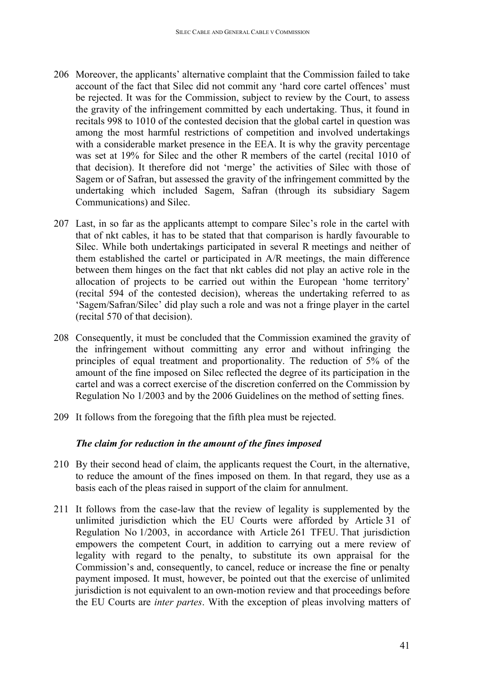- 206 Moreover, the applicants' alternative complaint that the Commission failed to take account of the fact that Silec did not commit any 'hard core cartel offences' must be rejected. It was for the Commission, subject to review by the Court, to assess the gravity of the infringement committed by each undertaking. Thus, it found in recitals 998 to 1010 of the contested decision that the global cartel in question was among the most harmful restrictions of competition and involved undertakings with a considerable market presence in the EEA. It is why the gravity percentage was set at 19% for Silec and the other R members of the cartel (recital 1010 of that decision). It therefore did not 'merge' the activities of Silec with those of Sagem or of Safran, but assessed the gravity of the infringement committed by the undertaking which included Sagem, Safran (through its subsidiary Sagem Communications) and Silec.
- 207 Last, in so far as the applicants attempt to compare Silec's role in the cartel with that of nkt cables, it has to be stated that that comparison is hardly favourable to Silec. While both undertakings participated in several R meetings and neither of them established the cartel or participated in A/R meetings, the main difference between them hinges on the fact that nkt cables did not play an active role in the allocation of projects to be carried out within the European 'home territory' (recital 594 of the contested decision), whereas the undertaking referred to as 'Sagem/Safran/Silec' did play such a role and was not a fringe player in the cartel (recital 570 of that decision).
- 208 Consequently, it must be concluded that the Commission examined the gravity of the infringement without committing any error and without infringing the principles of equal treatment and proportionality. The reduction of 5% of the amount of the fine imposed on Silec reflected the degree of its participation in the cartel and was a correct exercise of the discretion conferred on the Commission by Regulation No 1/2003 and by the 2006 Guidelines on the method of setting fines.
- 209 It follows from the foregoing that the fifth plea must be rejected.

## <span id="page-40-0"></span>*The claim for reduction in the amount of the fines imposed*

- 210 By their second head of claim, the applicants request the Court, in the alternative, to reduce the amount of the fines imposed on them. In that regard, they use as a basis each of the pleas raised in support of the claim for annulment.
- 211 It follows from the case-law that the review of legality is supplemented by the unlimited jurisdiction which the EU Courts were afforded by Article 31 of Regulation No 1/2003, in accordance with Article 261 TFEU. That jurisdiction empowers the competent Court, in addition to carrying out a mere review of legality with regard to the penalty, to substitute its own appraisal for the Commission's and, consequently, to cancel, reduce or increase the fine or penalty payment imposed. It must, however, be pointed out that the exercise of unlimited jurisdiction is not equivalent to an own-motion review and that proceedings before the EU Courts are *inter partes*. With the exception of pleas involving matters of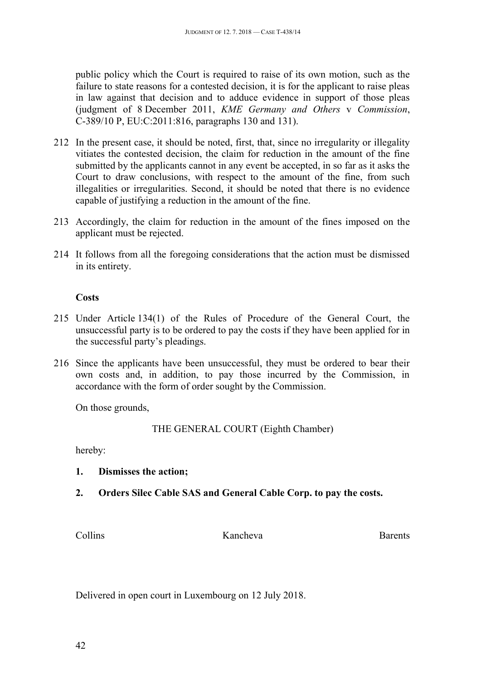public policy which the Court is required to raise of its own motion, such as the failure to state reasons for a contested decision, it is for the applicant to raise pleas in law against that decision and to adduce evidence in support of those pleas (judgment of 8 December 2011, *KME Germany and Others* v *Commission*, C-389/10 P, EU:C:2011:816, paragraphs 130 and 131).

- 212 In the present case, it should be noted, first, that, since no irregularity or illegality vitiates the contested decision, the claim for reduction in the amount of the fine submitted by the applicants cannot in any event be accepted, in so far as it asks the Court to draw conclusions, with respect to the amount of the fine, from such illegalities or irregularities. Second, it should be noted that there is no evidence capable of justifying a reduction in the amount of the fine.
- 213 Accordingly, the claim for reduction in the amount of the fines imposed on the applicant must be rejected.
- 214 It follows from all the foregoing considerations that the action must be dismissed in its entirety.

## <span id="page-41-0"></span>**Costs**

- 215 Under Article 134(1) of the Rules of Procedure of the General Court, the unsuccessful party is to be ordered to pay the costs if they have been applied for in the successful party's pleadings.
- 216 Since the applicants have been unsuccessful, they must be ordered to bear their own costs and, in addition, to pay those incurred by the Commission, in accordance with the form of order sought by the Commission.

On those grounds,

THE GENERAL COURT (Eighth Chamber)

hereby:

- **1. Dismisses the action;**
- **2. Orders Silec Cable SAS and General Cable Corp. to pay the costs.**

Collins Kancheva Barents

Delivered in open court in Luxembourg on 12 July 2018.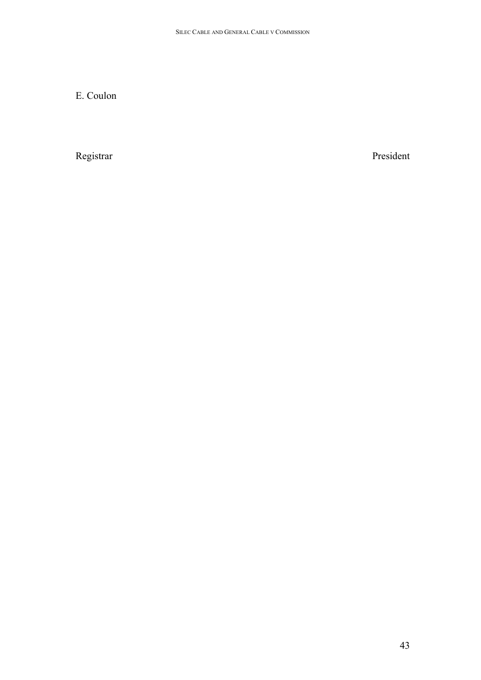E. Coulon

Registrar President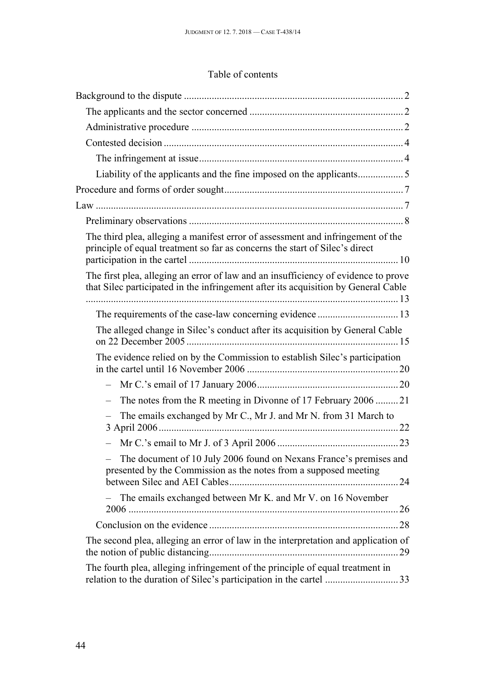# Table of contents

| The third plea, alleging a manifest error of assessment and infringement of the<br>principle of equal treatment so far as concerns the start of Silec's direct           |  |
|--------------------------------------------------------------------------------------------------------------------------------------------------------------------------|--|
| The first plea, alleging an error of law and an insufficiency of evidence to prove<br>that Silec participated in the infringement after its acquisition by General Cable |  |
|                                                                                                                                                                          |  |
| The alleged change in Silec's conduct after its acquisition by General Cable                                                                                             |  |
| The evidence relied on by the Commission to establish Silec's participation                                                                                              |  |
|                                                                                                                                                                          |  |
| The notes from the R meeting in Divonne of 17 February 2006 21                                                                                                           |  |
| The emails exchanged by Mr C., Mr J. and Mr N. from 31 March to                                                                                                          |  |
|                                                                                                                                                                          |  |
| The document of 10 July 2006 found on Nexans France's premises and<br>presented by the Commission as the notes from a supposed meeting                                   |  |
| The emails exchanged between Mr K. and Mr V. on 16 November                                                                                                              |  |
|                                                                                                                                                                          |  |
| The second plea, alleging an error of law in the interpretation and application of                                                                                       |  |
| The fourth plea, alleging infringement of the principle of equal treatment in                                                                                            |  |